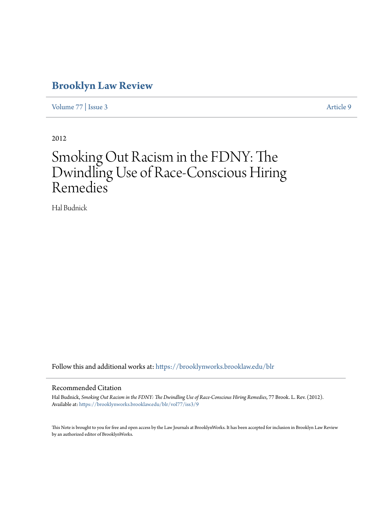# **[Brooklyn Law Review](https://brooklynworks.brooklaw.edu/blr?utm_source=brooklynworks.brooklaw.edu%2Fblr%2Fvol77%2Fiss3%2F9&utm_medium=PDF&utm_campaign=PDFCoverPages)**

[Volume 77](https://brooklynworks.brooklaw.edu/blr/vol77?utm_source=brooklynworks.brooklaw.edu%2Fblr%2Fvol77%2Fiss3%2F9&utm_medium=PDF&utm_campaign=PDFCoverPages) | [Issue 3](https://brooklynworks.brooklaw.edu/blr/vol77/iss3?utm_source=brooklynworks.brooklaw.edu%2Fblr%2Fvol77%2Fiss3%2F9&utm_medium=PDF&utm_campaign=PDFCoverPages) [Article 9](https://brooklynworks.brooklaw.edu/blr/vol77/iss3/9?utm_source=brooklynworks.brooklaw.edu%2Fblr%2Fvol77%2Fiss3%2F9&utm_medium=PDF&utm_campaign=PDFCoverPages)

2012

# Smoking Out Racism in the FDNY: The Dwindling Use of Race-Conscious Hiring Remedies

Hal Budnick

Follow this and additional works at: [https://brooklynworks.brooklaw.edu/blr](https://brooklynworks.brooklaw.edu/blr?utm_source=brooklynworks.brooklaw.edu%2Fblr%2Fvol77%2Fiss3%2F9&utm_medium=PDF&utm_campaign=PDFCoverPages)

#### Recommended Citation

Hal Budnick, *Smoking Out Racism in the FDNY: The Dwindling Use of Race-Conscious Hiring Remedies*, 77 Brook. L. Rev. (2012). Available at: [https://brooklynworks.brooklaw.edu/blr/vol77/iss3/9](https://brooklynworks.brooklaw.edu/blr/vol77/iss3/9?utm_source=brooklynworks.brooklaw.edu%2Fblr%2Fvol77%2Fiss3%2F9&utm_medium=PDF&utm_campaign=PDFCoverPages)

This Note is brought to you for free and open access by the Law Journals at BrooklynWorks. It has been accepted for inclusion in Brooklyn Law Review by an authorized editor of BrooklynWorks.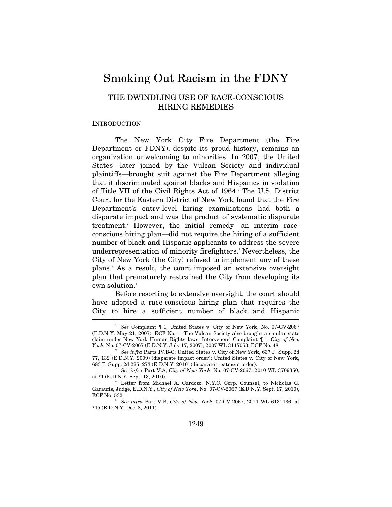# Smoking Out Racism in the FDNY

# THE DWINDLING USE OF RACE-CONSCIOUS HIRING REMEDIES

#### **INTRODUCTION**

The New York City Fire Department (the Fire Department or FDNY), despite its proud history, remains an organization unwelcoming to minorities. In 2007, the United States—later joined by the Vulcan Society and individual plaintiffs—brought suit against the Fire Department alleging that it discriminated against blacks and Hispanics in violation of Title VII of the Civil Rights Act of 1964.<sup>1</sup> The U.S. District Court for the Eastern District of New York found that the Fire Department's entry-level hiring examinations had both a disparate impact and was the product of systematic disparate treatment.<sup>2</sup> However, the initial remedy—an interim raceconscious hiring plan—did not require the hiring of a sufficient number of black and Hispanic applicants to address the severe underrepresentation of minority firefighters.<sup>3</sup> Nevertheless, the City of New York (the City) refused to implement any of these plans.4 As a result, the court imposed an extensive oversight plan that prematurely restrained the City from developing its own solution.<sup>5</sup>

Before resorting to extensive oversight, the court should have adopted a race-conscious hiring plan that requires the City to hire a sufficient number of black and Hispanic  $\overline{\phantom{a}}$ 

<sup>1</sup> *See* Complaint ¶ 1, United States v. City of New York, No. 07-CV-2067 (E.D.N.Y. May 21, 2007), ECF No. 1. The Vulcan Society also brought a similar state claim under New York Human Rights laws. Intervenors' Complaint ¶ 1, *City of New York*, No. 07-CV-2067 (E.D.N.Y. July 17, 2007), 2007 WL 3117053, ECF No. 48. 2

*See infra* Parts IV.B-C; United States v. City of New York, 637 F. Supp. 2d 77, 132 (E.D.N.Y. 2009) (disparate impact order); United States v. City of New York, 683 F. Supp. 2d 225, 273 (E.D.N.Y. 2010) (disparate treatment order). 3

*See infra* Part V.A; *City of New York*, No. 07-CV-2067, 2010 WL 3709350, at \*1 (E.D.N.Y. Sept. 13, 2010).

Letter from Michael A. Cardozo, N.Y.C. Corp. Counsel, to Nicholas G. Garaufis, Judge, E.D.N.Y., *City of New York*, No. 07-CV-2067 (E.D.N.Y. Sept. 17, 2010), ECF No. 532. 5 *See infra* Part V.B; *City of New York*, 07-CV-2067, 2011 WL 6131136, at

<sup>\*15 (</sup>E.D.N.Y. Dec. 8, 2011).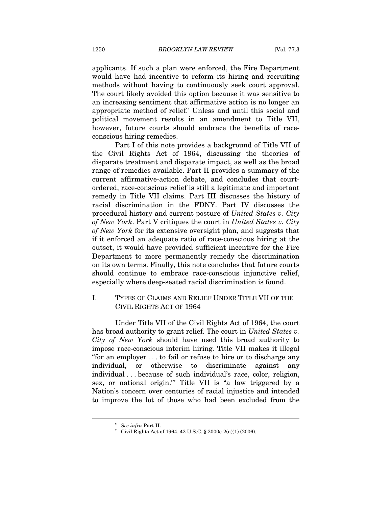applicants. If such a plan were enforced, the Fire Department would have had incentive to reform its hiring and recruiting methods without having to continuously seek court approval. The court likely avoided this option because it was sensitive to an increasing sentiment that affirmative action is no longer an appropriate method of relief.<sup>6</sup> Unless and until this social and political movement results in an amendment to Title VII, however, future courts should embrace the benefits of raceconscious hiring remedies.

Part I of this note provides a background of Title VII of the Civil Rights Act of 1964, discussing the theories of disparate treatment and disparate impact, as well as the broad range of remedies available. Part II provides a summary of the current affirmative-action debate, and concludes that courtordered, race-conscious relief is still a legitimate and important remedy in Title VII claims. Part III discusses the history of racial discrimination in the FDNY. Part IV discusses the procedural history and current posture of *United States v. City of New York*. Part V critiques the court in *United States v. City of New York* for its extensive oversight plan, and suggests that if it enforced an adequate ratio of race-conscious hiring at the outset, it would have provided sufficient incentive for the Fire Department to more permanently remedy the discrimination on its own terms. Finally, this note concludes that future courts should continue to embrace race-conscious injunctive relief, especially where deep-seated racial discrimination is found.

## I. TYPES OF CLAIMS AND RELIEF UNDER TITLE VII OF THE CIVIL RIGHTS ACT OF 1964

Under Title VII of the Civil Rights Act of 1964, the court has broad authority to grant relief. The court in *United States v. City of New York* should have used this broad authority to impose race-conscious interim hiring. Title VII makes it illegal "for an employer . . . to fail or refuse to hire or to discharge any individual, or otherwise to discriminate against any individual . . . because of such individual's race, color, religion, sex, or national origin."7 Title VII is "a law triggered by a Nation's concern over centuries of racial injustice and intended to improve the lot of those who had been excluded from the

<sup>&</sup>lt;sup>6</sup> See infra Part II.<br><sup>7</sup> Civil Pights Ast 2

 $^7$  Civil Rights Act of 1964, 42 U.S.C. § 2000e-2(a)(1) (2006).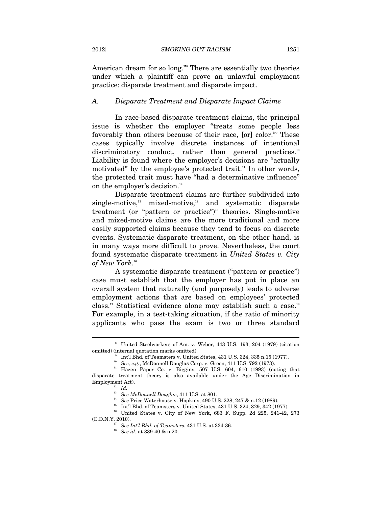American dream for so long."8 There are essentially two theories under which a plaintiff can prove an unlawful employment practice: disparate treatment and disparate impact.

#### *A. Disparate Treatment and Disparate Impact Claims*

In race-based disparate treatment claims, the principal issue is whether the employer "treats some people less favorably than others because of their race, [or] color."9 These cases typically involve discrete instances of intentional discriminatory conduct, rather than general practices.<sup>10</sup> Liability is found where the employer's decisions are "actually motivated" by the employee's protected trait.<sup>11</sup> In other words, the protected trait must have "had a determinative influence" on the employer's decision.<sup>12</sup>

Disparate treatment claims are further subdivided into single-motive, $13$  mixed-motive, $14$  and systematic disparate treatment (or "pattern or practice")<sup>15</sup> theories. Single-motive and mixed-motive claims are the more traditional and more easily supported claims because they tend to focus on discrete events. Systematic disparate treatment, on the other hand, is in many ways more difficult to prove. Nevertheless, the court found systematic disparate treatment in *United States v. City of New York*. 16

A systematic disparate treatment ("pattern or practice") case must establish that the employer has put in place an overall system that naturally (and purposely) leads to adverse employment actions that are based on employees' protected class.<sup>17</sup> Statistical evidence alone may establish such a case.<sup>18</sup> For example, in a test-taking situation, if the ratio of minority applicants who pass the exam is two or three standard

 $\overline{a}$ 

<sup>14</sup> See Price Waterhouse v. Hopkins, 490 U.S. 228, 247 & n.12 (1989).<br><sup>15</sup> Int'l Bhd. of Teamsters v. United States, 431 U.S. 324, 329, 342 (1977).

 $^{16}$  United States v. City of New York, 683 F. Supp. 2d 225, 241-42, 273 (E.D.N.Y. 2010).

<sup>8</sup> United Steelworkers of Am. v. Weber, 443 U.S. 193, 204 (1979) (citation % omitted) (internal quotation marks omitted). 9 Int'l Bhd. of Teamsters v. United States, 431 U.S. 324, 335 n.15 (1977). See, e.g., McDonnell Douglas Corp. v. Green, 411 U.S. 792 (1973).

<sup>&</sup>lt;sup>11</sup> Hazen Paper Co. v. Biggins, 507 U.S. 604, 610 (1993) (noting that disparate treatment theory is also available under the Age Discrimination in Employment Act).<br><sup>12</sup> *Id.*<br><sup>13</sup> *See McDonnell Douglas*, 411 U.S. at 801.

<sup>(</sup>E.D.N.Y. 2010). 17 *See Int'l Bhd. of Teamsters*, 431 U.S. at 334-36. 18 *See id.* at 339-40 & n.20.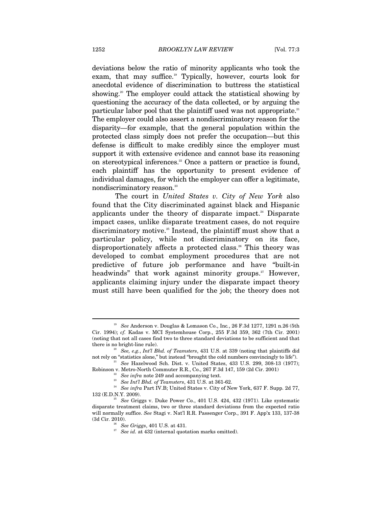deviations below the ratio of minority applicants who took the exam, that may suffice.<sup>19</sup> Typically, however, courts look for anecdotal evidence of discrimination to buttress the statistical showing.<sup>20</sup> The employer could attack the statistical showing by questioning the accuracy of the data collected, or by arguing the particular labor pool that the plaintiff used was not appropriate.<sup>21</sup> The employer could also assert a nondiscriminatory reason for the disparity—for example, that the general population within the protected class simply does not prefer the occupation—but this defense is difficult to make credibly since the employer must support it with extensive evidence and cannot base its reasoning on stereotypical inferences.<sup>22</sup> Once a pattern or practice is found, each plaintiff has the opportunity to present evidence of individual damages, for which the employer can offer a legitimate, nondiscriminatory reason.<sup>23</sup>

The court in *United States v. City of New York* also found that the City discriminated against black and Hispanic applicants under the theory of disparate impact.<sup>24</sup> Disparate impact cases, unlike disparate treatment cases, do not require discriminatory motive.<sup>25</sup> Instead, the plaintiff must show that a particular policy, while not discriminatory on its face, disproportionately affects a protected class.<sup>26</sup> This theory was developed to combat employment procedures that are not predictive of future job performance and have "built-in headwinds" that work against minority groups.<sup>27</sup> However, applicants claiming injury under the disparate impact theory must still have been qualified for the job; the theory does not

<sup>19</sup> *See* Anderson v. Douglas & Lomason Co., Inc*.*, 26 F.3d 1277, 1291 n.26 (5th Cir. 1994); *cf.* Kadas v. MCI Systemhouse Corp., 255 F.3d 359, 362 (7th Cir. 2001) (noting that not all cases find two to three standard deviations to be sufficient and that

there is no bright-line rule).<br><sup>20</sup> *See, e.g., Int'l Bhd. of Teamsters*, 431 U.S. at 339 (noting that plaintiffs did not rely on "statistics alone," but instead "brought the cold numbers convincingly to life").

<sup>&</sup>lt;sup>21</sup> See Hazelwood Sch. Dist. v. United States, 433 U.S. 299, 308-13 (1977); Robinson v. Metro-North Commuter R.R., Co., 267 F.3d 147, 159 (2d Cir. 2001)

<sup>&</sup>lt;sup>22</sup> See infra note 249 and accompanying text.<br><sup>23</sup> See Int'l Bhd. of Teamsters, 431 U.S. at 361-62.<br><sup>24</sup> See infra Part IV.B; United States v. City of New York, 637 F. Supp. 2d 77, 132 (E.D.N.Y. 2009).

 $25$  *See* Griggs v. Duke Power Co., 401 U.S. 424, 432 (1971). Like systematic disparate treatment claims, two or three standard deviations from the expected ratio will normally suffice. *See* Stagi v. Nat'l R.R. Passenger Corp., 391 F. App'x 133, 137-38

 $\overset{\text{26}}{27}$  See *Griggs*, 401 U.S. at 431. <br><sup>27</sup> See id. at 432 (internal quotation marks omitted).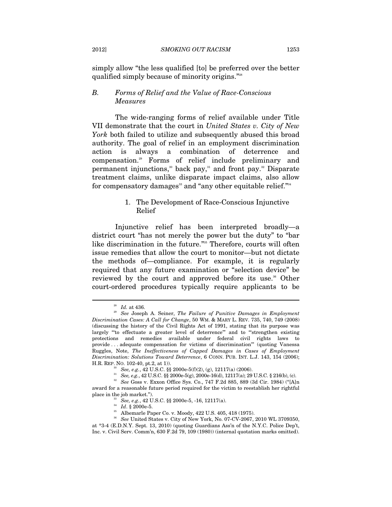simply allow "the less qualified [to] be preferred over the better qualified simply because of minority origins."28

# *B. Forms of Relief and the Value of Race-Conscious Measures*

The wide-ranging forms of relief available under Title VII demonstrate that the court in *United States v. City of New York* both failed to utilize and subsequently abused this broad authority. The goal of relief in an employment discrimination action is always a combination of deterrence and compensation.29 Forms of relief include preliminary and permanent injunctions,<sup>30</sup> back pay,<sup>31</sup> and front pay.<sup>32</sup> Disparate treatment claims, unlike disparate impact claims, also allow for compensatory damages<sup>33</sup> and "any other equitable relief."<sup>34</sup>

# 1. The Development of Race-Conscious Injunctive Relief

Injunctive relief has been interpreted broadly—a district court "has not merely the power but the duty" to "bar like discrimination in the future."<sup>355</sup> Therefore, courts will often issue remedies that allow the court to monitor—but not dictate the methods of—compliance. For example, it is regularly required that any future examination or "selection device" be reviewed by the court and approved before its use.<sup>36</sup> Other court-ordered procedures typically require applicants to be

<sup>28</sup> *Id.* at 436. 29 *See* Joseph A. Seiner, *The Failure of Punitive Damages in Employment Discrimination Cases: A Call for Change*, 50 WM. & MARY L. REV. 735, 740, 749 (2008) (discussing the history of the Civil Rights Act of 1991, stating that its purpose was largely "to effectuate a greater level of deterrence" and to "strengthen existing protections and remedies available under federal civil rights laws to provide . . . adequate compensation for victims of discrimination'" (quoting Vanessa Ruggles, Note, *The Ineffectiveness of Capped Damages in Cases of Employment Discrimination: Solutions Toward Deterrence*, 6 CONN. PUB. INT. L.J. 143, 154 (2006);

 $\begin{array}{lll} \mbox{H.R.}\ \mbox{Rep.}\ \mbox{NO.}\ 102\mbox{-}40,\, \mbox{pt.2, at}\ 1)),\\ \mbox{8.} & \mbox{See, $e.g.,}\ 42\ \mbox{U.S.C.}\ \S\S\ 2000\mbox{e-}5(f)(2),\, (g),\ 12117(a)\ (2006).\\ \mbox{9.} & \mbox{See, $e.g.,}\ 42\ \mbox{U.S.C.}\ \S\S\ 2000\mbox{e-}5(g),\ 2000\mbox{e-}16(d),\ 12117(a); \ 29\ \mbox{U.S$ award for a reasonable future period required for the victim to reestablish her rightful place in the job market.").<br><sup>33</sup> *See, e.g.*, 42 U.S.C. §§ 2000e-5, -16, 12117(a).<br><sup>34</sup> *Id.* § 2000e-5.<br><sup>35</sup> Albemarle Paper Co. v. Moody, 422 U.S. 405, 418 (1975).

<sup>36</sup> *See* United States v. City of New York, No. 07-CV-2067, 2010 WL 3709350,

at \*3-4 (E.D.N.Y. Sept. 13, 2010) (quoting Guardians Ass'n of the N.Y.C. Police Dep't, Inc. v. Civil Serv. Comm'n, 630 F.2d 79, 109 (1980)) (internal quotation marks omitted).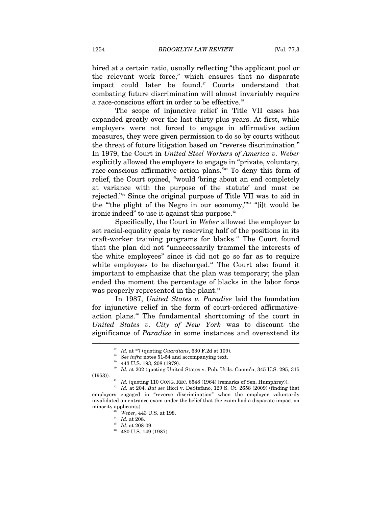hired at a certain ratio, usually reflecting "the applicant pool or the relevant work force," which ensures that no disparate impact could later be found.<sup>37</sup> Courts understand that combating future discrimination will almost invariably require a race-conscious effort in order to be effective.<sup>38</sup>

The scope of injunctive relief in Title VII cases has expanded greatly over the last thirty-plus years. At first, while employers were not forced to engage in affirmative action measures, they were given permission to do so by courts without the threat of future litigation based on "reverse discrimination." In 1979, the Court in *United Steel Workers of America v. Weber* explicitly allowed the employers to engage in "private, voluntary, race-conscious affirmative action plans."39 To deny this form of relief, the Court opined, "would 'bring about an end completely at variance with the purpose of the statute' and must be rejected."40 Since the original purpose of Title VII was to aid in the "the plight of the Negro in our economy,"<sup>41</sup> "[i]t would be ironic indeed" to use it against this purpose.<sup>42</sup>

Specifically, the Court in *Weber* allowed the employer to set racial-equality goals by reserving half of the positions in its craft-worker training programs for blacks.<sup>43</sup> The Court found that the plan did not "unnecessarily trammel the interests of the white employees" since it did not go so far as to require white employees to be discharged.<sup>44</sup> The Court also found it important to emphasize that the plan was temporary; the plan ended the moment the percentage of blacks in the labor force was properly represented in the plant.<sup>45</sup>

In 1987, *United States v. Paradise* laid the foundation for injunctive relief in the form of court-ordered affirmativeaction plans.46 The fundamental shortcoming of the court in *United States v. City of New York* was to discount the significance of *Paradise* in some instances and overextend its

<sup>37</sup> *Id.* at \*7 (quoting *Guardians*, 630 F.2d at 109). 38 *See infra* notes 51-54 and accompanying text. 39 443 U.S. 193, 208 (1979).

<sup>40</sup> *Id.* at 202 (quoting United States v. Pub. Utils. Comm'n, 345 U.S. 295, 315 (1953)). 41 *Id.* (quoting 110 CONG. REC. 6548 (1964) (remarks of Sen. Humphrey)). 42 *Id.* at 204. *But see* Ricci v. DeStefano, 129 S. Ct. 2658 (2009) (finding that

employers engaged in "reverse discrimination" when the employer voluntarily invalidated an entrance exam under the belief that the exam had a disparate impact on minority applicants).<br><sup>43</sup> *Weber*, 443 U.S. at 198.<br><sup>44</sup> *Id.* at 208-09.<br><sup>46</sup> 480 U.S. 149 (1987).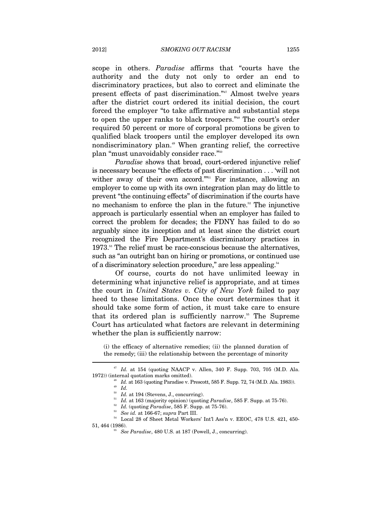scope in others. *Paradise* affirms that "courts have the authority and the duty not only to order an end to discriminatory practices, but also to correct and eliminate the present effects of past discrimination."47 Almost twelve years after the district court ordered its initial decision, the court forced the employer "to take affirmative and substantial steps to open the upper ranks to black troopers."48 The court's order required 50 percent or more of corporal promotions be given to qualified black troopers until the employer developed its own nondiscriminatory plan.49 When granting relief, the corrective plan "must unavoidably consider race."<sup>50</sup>

*Paradise* shows that broad, court-ordered injunctive relief is necessary because "the effects of past discrimination . . . 'will not wither away of their own accord."<sup>51</sup> For instance, allowing an employer to come up with its own integration plan may do little to prevent "the continuing effects" of discrimination if the courts have no mechanism to enforce the plan in the future.<sup>52</sup> The injunctive approach is particularly essential when an employer has failed to correct the problem for decades; the FDNY has failed to do so arguably since its inception and at least since the district court recognized the Fire Department's discriminatory practices in 1973.<sup>53</sup> The relief must be race-conscious because the alternatives, such as "an outright ban on hiring or promotions, or continued use of a discriminatory selection procedure," are less appealing.54

Of course, courts do not have unlimited leeway in determining what injunctive relief is appropriate, and at times the court in *United States v. City of New York* failed to pay heed to these limitations. Once the court determines that it should take some form of action, it must take care to ensure that its ordered plan is sufficiently narrow.<sup>55</sup> The Supreme Court has articulated what factors are relevant in determining whether the plan is sufficiently narrow:

(i) the efficacy of alternative remedies; (ii) the planned duration of the remedy; (iii) the relationship between the percentage of minority

<sup>47</sup> *Id.* at 154 (quoting NAACP v. Allen, 340 F. Supp. 703, 705 (M.D. Ala. 1972)) (internal quotation marks omitted). <br><sup>48</sup> *Id.* at 163 (quoting Paradise v. Prescott, 585 F. Supp. 72, 74 (M.D. Ala. 1983)).<br><sup>49</sup> *Id.* at 194 (Stevens, J., concurring).

<sup>&</sup>lt;sup>51</sup> *Id.* at 163 (majority opinion) (quoting *Paradise*, 585 F. Supp. at 75-76).<br><sup>52</sup> *Id.* (quoting *Paradise*, 585 F. Supp. at 75-76).<br><sup>53</sup> *See id.* at 166-67; *supra* Part III.<br><sup>54</sup> Local 28 of Sheet Metal Workers' I

<sup>51, 464 (1986). 55</sup> *See Paradise*, 480 U.S. at 187 (Powell, J., concurring).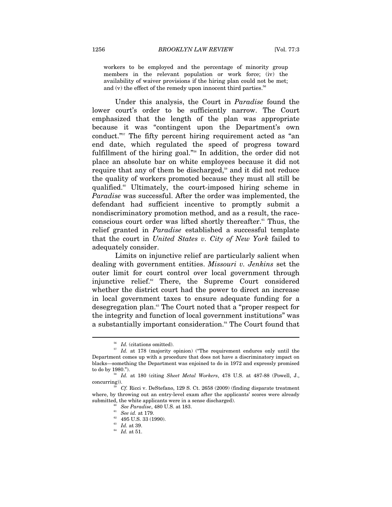workers to be employed and the percentage of minority group members in the relevant population or work force; (iv) the availability of waiver provisions if the hiring plan could not be met; and (v) the effect of the remedy upon innocent third parties.<sup>56</sup>

Under this analysis, the Court in *Paradise* found the lower court's order to be sufficiently narrow. The Court emphasized that the length of the plan was appropriate because it was "contingent upon the Department's own conduct."57 The fifty percent hiring requirement acted as "an end date, which regulated the speed of progress toward fulfillment of the hiring goal."58 In addition, the order did not place an absolute bar on white employees because it did not require that any of them be discharged,<sup>59</sup> and it did not reduce the quality of workers promoted because they must all still be qualified.60 Ultimately, the court-imposed hiring scheme in *Paradise* was successful. After the order was implemented, the defendant had sufficient incentive to promptly submit a nondiscriminatory promotion method, and as a result, the raceconscious court order was lifted shortly thereafter.<sup>61</sup> Thus, the relief granted in *Paradise* established a successful template that the court in *United States v. City of New York* failed to adequately consider.

Limits on injunctive relief are particularly salient when dealing with government entities. *Missouri v. Jenkins* set the outer limit for court control over local government through injunctive relief.<sup>62</sup> There, the Supreme Court considered whether the district court had the power to direct an increase in local government taxes to ensure adequate funding for a desegregation plan.<sup>63</sup> The Court noted that a "proper respect for the integrity and function of local government institutions" was a substantially important consideration.<sup>64</sup> The Court found that

 $\begin{array}{c} 56 \ \textrm{56} \end{array}$  *Id.* (citations omitted). The requirement endures only until the state of *Id.* at 178 (majority opinion) ("The requirement endures only until the Department comes up with a procedure that does not have a discriminatory impact on blacks—something the Department was enjoined to do in 1972 and expressly promised

to do by 1980.").<br><sup>58</sup> *Id.* at 180 (citing *Sheet Metal Workers*, 478 U.S. at 487-88 (Powell, J.,<br>concurring)).

Cf. Ricci v. DeStefano, 129 S. Ct. 2658 (2009) (finding disparate treatment where, by throwing out an entry-level exam after the applicants' scores were already submitted, the white applicants were in a sense discharged).<br>
<sup>60</sup> *See Paradise*, 480 U.S. at 183.<br>
<sup>61</sup> *See id.* at 179.<br>
<sup>62</sup> 495 U.S. 33 (1990).<br> *Id.* at 39.

 $^{\rm 64}$   $\,$   $Id.\;$  at 51.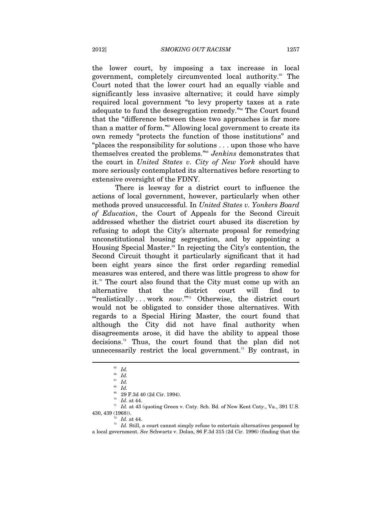the lower court, by imposing a tax increase in local government, completely circumvented local authority.<sup>65</sup> The Court noted that the lower court had an equally viable and significantly less invasive alternative; it could have simply required local government "to levy property taxes at a rate adequate to fund the desegregation remedy."66 The Court found that the "difference between these two approaches is far more than a matter of form."67 Allowing local government to create its own remedy "protects the function of those institutions" and "places the responsibility for solutions . . . upon those who have themselves created the problems."68 *Jenkins* demonstrates that the court in *United States v. City of New York* should have more seriously contemplated its alternatives before resorting to extensive oversight of the FDNY.

There is leeway for a district court to influence the actions of local government, however, particularly when other methods proved unsuccessful. In *United States v. Yonkers Board of Education*, the Court of Appeals for the Second Circuit addressed whether the district court abused its discretion by refusing to adopt the City's alternate proposal for remedying unconstitutional housing segregation, and by appointing a Housing Special Master.<sup>69</sup> In rejecting the City's contention, the Second Circuit thought it particularly significant that it had been eight years since the first order regarding remedial measures was entered, and there was little progress to show for it.70 The court also found that the City must come up with an alternative that the district court will find to "realistically ... work *now*."<sup>"1</sup> Otherwise, the district court would not be obligated to consider those alternatives. With regards to a Special Hiring Master, the court found that although the City did not have final authority when disagreements arose, it did have the ability to appeal those decisions.72 Thus, the court found that the plan did not unnecessarily restrict the local government.<sup>73</sup> By contrast, in

 $\int_{66}^{65}$  *Id.* 

<sup>66</sup> *Id.*

<sup>67</sup> *Id.* 

<sup>68</sup> *Id.*

 $^{69}$  29 F.3d 40 (2d Cir. 1994).<br><sup>70</sup> Id. at 44.

 $^{71}$   $Id.$  at 43 (quoting Green v. Cnty. Sch. Bd. of New Kent Cnty., Va., 391 U.S. 430, 439 (1968)).

 $\frac{72}{73}$  *Id.* at 44.  $\frac{1}{23}$  *Id.* Still, a court cannot simply refuse to entertain alternatives proposed by a local government. *See* Schwartz v. Dolan, 86 F.3d 315 (2d Cir. 1996) (finding that the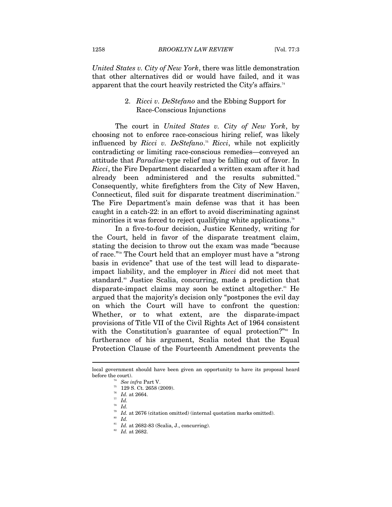*United States v. City of New York*, there was little demonstration that other alternatives did or would have failed, and it was apparent that the court heavily restricted the City's affairs.<sup>74</sup>

## 2. *Ricci v. DeStefano* and the Ebbing Support for Race-Conscious Injunctions

The court in *United States v. City of New York*, by choosing not to enforce race-conscious hiring relief, was likely influenced by *Ricci v. DeStefano*. <sup>75</sup> *Ricci*, while not explicitly contradicting or limiting race-conscious remedies—conveyed an attitude that *Paradise-*type relief may be falling out of favor. In *Ricci*, the Fire Department discarded a written exam after it had already been administered and the results submitted.<sup>76</sup> Consequently, white firefighters from the City of New Haven, Connecticut, filed suit for disparate treatment discrimination.<sup> $\pi$ </sup> The Fire Department's main defense was that it has been caught in a catch-22: in an effort to avoid discriminating against minorities it was forced to reject qualifying white applications.<sup>78</sup>

In a five-to-four decision, Justice Kennedy, writing for the Court, held in favor of the disparate treatment claim, stating the decision to throw out the exam was made "because of race."79 The Court held that an employer must have a "strong basis in evidence" that use of the test will lead to disparateimpact liability, and the employer in *Ricci* did not meet that standard.<sup>80</sup> Justice Scalia, concurring, made a prediction that disparate-impact claims may soon be extinct altogether.<sup>81</sup> He argued that the majority's decision only "postpones the evil day on which the Court will have to confront the question: Whether, or to what extent, are the disparate-impact provisions of Title VII of the Civil Rights Act of 1964 consistent with the Constitution's guarantee of equal protection?"<sup>82</sup> In furtherance of his argument, Scalia noted that the Equal Protection Clause of the Fourteenth Amendment prevents the

<sup>78</sup> *Id.* 

local government should have been given an opportunity to have its proposal heard % before the court). <br><sup>74</sup> *See infra* Part V.<br><sup>75</sup> 129 S. Ct. 2658 (2009).

 $\frac{76}{77}$  *Id.* at 2664.<br> $\frac{77}{78}$  *Id.* 

<sup>79</sup> *Id.* at 2676 (citation omitted) (internal quotation marks omitted). 80 *Id.*

<sup>&</sup>lt;sup>81</sup> *Id.* at 2682-83 (Scalia, J., concurring).<br><sup>82</sup> *Id.* at 2682.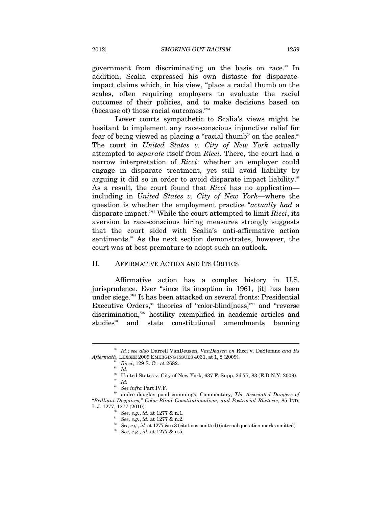government from discriminating on the basis on race.<sup>83</sup> In addition, Scalia expressed his own distaste for disparateimpact claims which, in his view, "place a racial thumb on the scales, often requiring employers to evaluate the racial outcomes of their policies, and to make decisions based on (because of) those racial outcomes."84

Lower courts sympathetic to Scalia's views might be hesitant to implement any race-conscious injunctive relief for fear of being viewed as placing a "racial thumb" on the scales.<sup>85</sup> The court in *United States v. City of New York* actually attempted to *separate* itself from *Ricci*. There, the court had a narrow interpretation of *Ricci*: whether an employer could engage in disparate treatment, yet still avoid liability by arguing it did so in order to avoid disparate impact liability.<sup>86</sup> As a result, the court found that *Ricci* has no application including in *United States v. City of New York*—where the question is whether the employment practice "*actually had* a disparate impact."87 While the court attempted to limit *Ricci*, its aversion to race-conscious hiring measures strongly suggests that the court sided with Scalia's anti-affirmative action sentiments.<sup>88</sup> As the next section demonstrates, however, the court was at best premature to adopt such an outlook.

#### II. AFFIRMATIVE ACTION AND ITS CRITICS

Affirmative action has a complex history in U.S. jurisprudence. Ever "since its inception in 1961, [it] has been under siege."89 It has been attacked on several fronts: Presidential Executive Orders,<sup>90</sup> theories of "color-blind $[ness]$ "<sup>91</sup> and "reverse discrimination,"92 hostility exemplified in academic articles and studies<sup>33</sup> and state constitutional amendments banning

<sup>83</sup> *Id*.; *see also* Darrell VanDeusen, *VanDeusen on* Ricci v. DeStefano *and Its Aftermath*, LEXSEE 2009 EMERGING ISSUES 4031, at 1, 8 (2009).<br><sup>84</sup> *Ricci*, 129 S. Ct. at 2682.<br><sup>85</sup> *Id.* 

 $86$  United States v. City of New York, 637 F. Supp. 2d 77, 83 (E.D.N.Y. 2009). <sup>87</sup> *Id.*

<sup>&</sup>lt;sup>88</sup> See infra Part IV.F.<br><sup>89</sup> andré douglas pond cummings, Commentary, *The Associated Dangers of "Brilliant Disguises," Color-Blind Constitutionalism, and Postracial Rhetoric*, 85 IND. L.J. 1277, 1277 (2010).<br>
so See, e.g., id. at 1277 & n.1.<br>
su See, e.g., id. at 1277 & n.2.<br>
se See, e.g., id. at 1277 & n.3 (citations omitted) (internal quotation marks omitted).<br>
su See, e.g., id. at 1277 & n.5.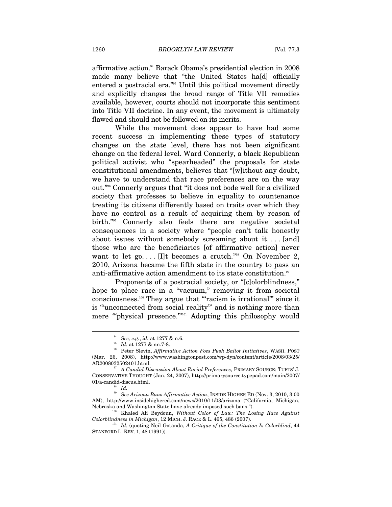affirmative action.94 Barack Obama's presidential election in 2008 made many believe that "the United States ha[d] officially entered a postracial era."95 Until this political movement directly and explicitly changes the broad range of Title VII remedies available, however, courts should not incorporate this sentiment into Title VII doctrine. In any event, the movement is ultimately flawed and should not be followed on its merits.

While the movement does appear to have had some recent success in implementing these types of statutory changes on the state level, there has not been significant change on the federal level. Ward Connerly, a black Republican political activist who "spearheaded" the proposals for state constitutional amendments, believes that "[w]ithout any doubt, we have to understand that race preferences are on the way out."96 Connerly argues that "it does not bode well for a civilized society that professes to believe in equality to countenance treating its citizens differently based on traits over which they have no control as a result of acquiring them by reason of birth."<sup>97</sup> Connerly also feels there are negative societal consequences in a society where "people can't talk honestly about issues without somebody screaming about it. . . . [and] those who are the beneficiaries [of affirmative action] never want to let go.... [I]t becomes a crutch."<sup>98</sup> On November 2, 2010, Arizona became the fifth state in the country to pass an anti-affirmative action amendment to its state constitution.<sup>99</sup>

Proponents of a postracial society, or "[c]olorblindness," hope to place race in a "vacuum," removing it from societal consciousness.100 They argue that "'racism is irrational'" since it is "'unconnected from social reality'" and is nothing more than mere ""physical presence."<sup>"101</sup> Adopting this philosophy would

 $\overline{a}$ 

*Colorblindness in Michigan*, 12 MICH. J. RACE & L. 465, 486 (2007). 101 *Id.* (quoting Neil Gotanda, *A Critique of the Constitution Is Colorblind*, 44

<sup>94</sup> *See, e.g.*, *id.* at 1277 & n.6. 95 *Id.* at 1277 & nn.7-8. 96 Peter Slevin, *Affirmative Action Foes Push Ballot Initiatives*, WASH. POST (Mar. 26, 2008), http://www.washingtonpost.com/wp-dyn/content/article/2008/03/25/

AR2008032502401.html. 97 *A Candid Discussion About Racial Preferences*, PRIMARY SOURCE: TUFTS' J. CONSERVATIVE THOUGHT (Jan. 24, 2007), http://primarysource.typepad.com/main/2007/ 01/a-candid-discus.html.<br><sup>98</sup> *Id.* 

<sup>99</sup> *See Arizona Bans Affirmative Action*, INSIDE HIGHER ED (Nov. 3, 2010, 3:00 AM), http://www.insidehighered.com/news/2010/11/03/arizona ("California, Michigan, Nebraska and Washington State have already imposed such bans."). 100 Khaled Ali Beydoun, *Without Color of Law: The Losing Race Against* 

STANFORD L. REV. 1, 48 (1991)).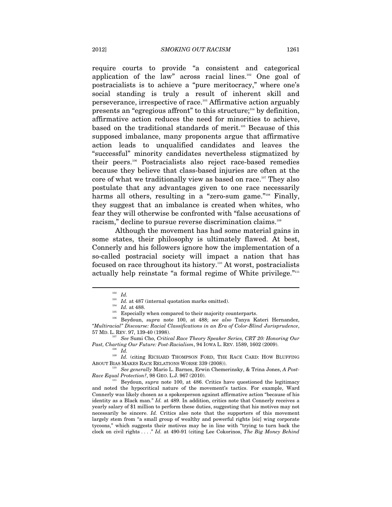require courts to provide "a consistent and categorical application of the law" across racial lines.<sup>102</sup> One goal of postracialists is to achieve a "pure meritocracy," where one's social standing is truly a result of inherent skill and perseverance, irrespective of race.103 Affirmative action arguably presents an "egregious affront" to this structure;<sup>104</sup> by definition, affirmative action reduces the need for minorities to achieve, based on the traditional standards of merit.<sup>105</sup> Because of this supposed imbalance, many proponents argue that affirmative action leads to unqualified candidates and leaves the "successful" minority candidates nevertheless stigmatized by their peers.106 Postracialists also reject race-based remedies because they believe that class-based injuries are often at the core of what we traditionally view as based on race.<sup>107</sup> They also postulate that any advantages given to one race necessarily harms all others, resulting in a "zero-sum game."<sup>108</sup> Finally, they suggest that an imbalance is created when whites, who fear they will otherwise be confronted with "false accusations of racism," decline to pursue reverse discrimination claims.<sup>109</sup>

Although the movement has had some material gains in some states, their philosophy is ultimately flawed. At best, Connerly and his followers ignore how the implementation of a so-called postracial society will impact a nation that has focused on race throughout its history.110 At worst, postracialists actually help reinstate "a formal regime of White privilege."<sup>111</sup>

 $\overline{a}$ 

<sup>109</sup> Id. (citing RICHARD THOMPSON FORD, THE RACE CARD: HOW BLUFFING ABOUT BIAS MAKES RACE RELATIONS WORSE 339 (2008)). 110 *See generally* Mario L. Barnes, Erwin Chemerinsky, & Trina Jones, *A Post-*

<sup>102</sup> *Id.*

<sup>&</sup>lt;sup>103</sup> *Id.* at 487 (internal quotation marks omitted).<br><sup>104</sup> *Id.* at 488.<br><sup>105</sup> Especially when compared to their majority counterparts.<br><sup>105</sup> Beydoun, *supra* note 100, at 488; *see also* Tanya Kateri Hernandez, *"Multiracial" Discourse: Racial Classifications in an Era of Color-Blind Jurisprudence*,

<sup>57</sup> MD. L. REV. 97, 139-40 (1998). 107 *See* Sumi Cho, *Critical Race Theory Speaker Series, CRT 20: Honoring Our Past, Charting Our Future: Post-Racialism,* 94 IOWA L. REV. 1589, 1602 (2009).

*Race Equal Protection?*, 98 GEO. L.J. 967 (2010). <sup>111</sup> Beydoun, *supra* note 100, at 486. Critics have questioned the legitimacy

and noted the hypocritical nature of the movement's tactics. For example, Ward Connerly was likely chosen as a spokesperson against affirmative action "because of his identity as a Black man." *Id.* at 489. In addition, critics note that Connerly receives a yearly salary of \$1 million to perform these duties, suggesting that his motives may not necessarily be sincere. *Id.* Critics also note that the supporters of this movement largely stem from "a small group of wealthy and powerful rights [sic] wing corporate tycoons," which suggests their motives may be in line with "trying to turn back the clock on civil rights . . . ." *Id.* at 490-91 (citing Lee Cokorinos, *The Big Money Behind*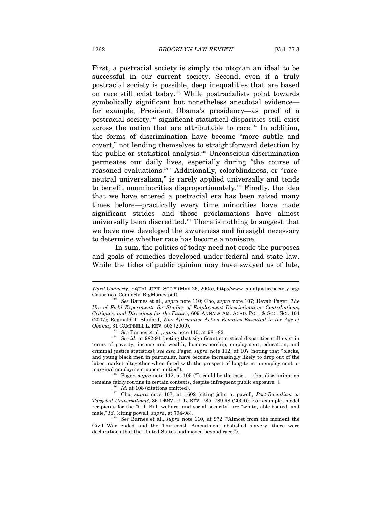First, a postracial society is simply too utopian an ideal to be successful in our current society. Second, even if a truly postracial society is possible, deep inequalities that are based on race still exist today.112 While postracialists point towards symbolically significant but nonetheless anecdotal evidence for example, President Obama's presidency—as proof of a postracial society,113 significant statistical disparities still exist across the nation that are attributable to race.<sup>114</sup> In addition, the forms of discrimination have become "more subtle and covert," not lending themselves to straightforward detection by the public or statistical analysis.115 Unconscious discrimination permeates our daily lives, especially during "the course of reasoned evaluations."116 Additionally, colorblindness, or "raceneutral universalism," is rarely applied universally and tends to benefit nonminorities disproportionately.117 Finally, the idea that we have entered a postracial era has been raised many times before—practically every time minorities have made significant strides—and those proclamations have almost universally been discredited.118 There is nothing to suggest that we have now developed the awareness and foresight necessary to determine whether race has become a nonissue.

In sum, the politics of today need not erode the purposes and goals of remedies developed under federal and state law. While the tides of public opinion may have swayed as of late,

*Ward Connerly*, EQUAL JUST. SOC'Y (May 26, 2005), http://www.equaljusticesociety.org/ Cokorinos\_Connerly\_BigMoney.pdf). 112 *See* Barnes et al., *supra* note 110; Cho, *supra* note 107; Devah Pager, *The* 

*Use of Field Experiments for Studies of Employment Discrimination: Contributions, Critiques, and Directions for the Future*, 609 ANNALS AM. ACAD. POL. & SOC. SCI. 104 (2007); Reginald T. Shuford, *Why Affirmative Action Remains Essential in the Age of Obama*, 31 CAMPBELL L. REV. 503 (2009). 113 *See* Barnes et al., *supra* note 110, at 981-82. 114 *See id.* at 982-91 (noting that significant statistical disparities still exist in

terms of poverty, income and wealth, homeownership, employment, education, and criminal justice statistics); *see also* Pager, *supra* note 112, at 107 (noting that "blacks, and young black men in particular, have become increasingly likely to drop out of the labor market altogether when faced with the prospect of long-term unemployment or marginal employment opportunities").<br><sup>115</sup> Pager, *supra* note 112, at 105 ("It could be the case . . . that discrimination

remains fairly routine in certain contexts, despite infrequent public exposure.").<br><sup>116</sup> *Id.* at 108 (citations omitted).<br><sup>117</sup> Cho, *supra* note 107, at 1602 (citing john a. powell, *Post-Racialism or* 

*Targeted Universalism?*, 86 DENV. U. L. REV. 785, 789-98 (2009)). For example, model recipients for the "G.I. Bill, welfare, and social security" are "white, able-bodied, and male." *Id.* (citing powell, *supra*, at 794-98). <sup>118</sup> See Barnes et al., *supra* note 110, at 972 ("Almost from the moment the

Civil War ended and the Thirteenth Amendment abolished slavery, there were declarations that the United States had moved beyond race.").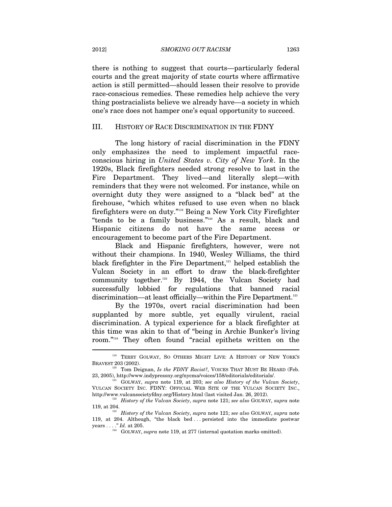there is nothing to suggest that courts—particularly federal courts and the great majority of state courts where affirmative action is still permitted—should lessen their resolve to provide race-conscious remedies. These remedies help achieve the very thing postracialists believe we already have—a society in which one's race does not hamper one's equal opportunity to succeed.

#### III. HISTORY OF RACE DISCRIMINATION IN THE FDNY

The long history of racial discrimination in the FDNY only emphasizes the need to implement impactful raceconscious hiring in *United States v. City of New York*. In the 1920s, Black firefighters needed strong resolve to last in the Fire Department. They lived—and literally slept—with reminders that they were not welcomed. For instance, while on overnight duty they were assigned to a "black bed" at the firehouse, "which whites refused to use even when no black firefighters were on duty."119 Being a New York City Firefighter "tends to be a family business."120 As a result, black and Hispanic citizens do not have the same access or encouragement to become part of the Fire Department.

Black and Hispanic firefighters, however, were not without their champions. In 1940, Wesley Williams, the third black firefighter in the Fire Department,<sup>121</sup> helped establish the Vulcan Society in an effort to draw the black-firefighter community together.122 By 1944, the Vulcan Society had successfully lobbied for regulations that banned racial discrimination—at least officially—within the Fire Department.<sup>123</sup>

By the 1970s, overt racial discrimination had been supplanted by more subtle, yet equally virulent, racial discrimination. A typical experience for a black firefighter at this time was akin to that of "being in Archie Bunker's living room."124 They often found "racial epithets written on the

<sup>&</sup>lt;sup>119</sup> TERRY GOLWAY, SO OTHERS MIGHT LIVE: A HISTORY OF NEW YORK'S BRAVEST 203 (2002).<br><sup>120</sup> Tom Deignan, *Is the FDNY Racist?*, VOICES THAT MUST BE HEARD (Feb.

<sup>23, 2005),</sup> http://www.indypressny.org/nycma/voices/158/editorials/editorials/. 121 GOLWAY, *supra* note 119, at 203; *see also History of the Vulcan Society*,

VULCAN SOCIETY INC. FDNY: OFFICIAL WEB SITE OF THE VULCAN SOCIETY INC., http://www.vulcansocietyfdny.org/History.html (last visited Jan. 26, 2012).

<sup>&</sup>lt;sup>122</sup> History of the Vulcan Society, *supra* note 121; *see also* GOLWAY, *supra* note 119, at 204. 123 *History of the Vulcan Society*, *supra* note 121; *see also* GOLWAY, *supra* note

<sup>119,</sup> at 204. Although, "the black bed ... persisted into the immediate postwar years . . . ." *Id.* at 205. <br>GOLWAY, *supra* note 119, at 277 (internal quotation marks omitted).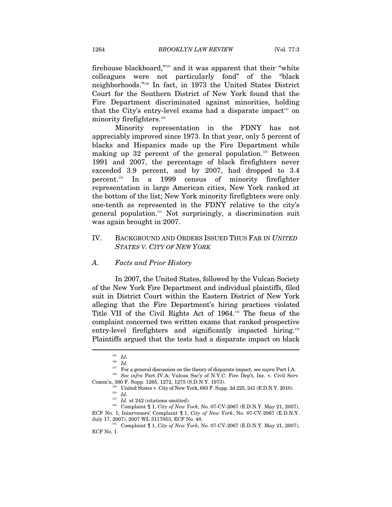firehouse blackboard,"125 and it was apparent that their "white colleagues were not particularly fond" of the "black neighborhoods."126 In fact, in 1973 the United States District Court for the Southern District of New York found that the Fire Department discriminated against minorities, holding that the City's entry-level exams had a disparate impact<sup>127</sup> on minority firefighters.<sup>128</sup>

Minority representation in the FDNY has not appreciably improved since 1973. In that year, only 5 percent of blacks and Hispanics made up the Fire Department while making up 32 percent of the general population.<sup>129</sup> Between 1991 and 2007, the percentage of black firefighters never exceeded 3.9 percent, and by 2007, had dropped to 3.4 percent.130 In a 1999 census of minority firefighter representation in large American cities, New York ranked at the bottom of the list; New York minority firefighters were only one-tenth as represented in the FDNY relative to the city's general population.131 Not surprisingly, a discrimination suit was again brought in 2007.

# IV. BACKGROUND AND ORDERS ISSUED THUS FAR IN *UNITED STATES V. CITY OF NEW YORK*

#### *A. Facts and Prior History*

In 2007, the United States, followed by the Vulcan Society of the New York Fire Department and individual plaintiffs, filed suit in District Court within the Eastern District of New York alleging that the Fire Department's hiring practices violated Title VII of the Civil Rights Act of 1964.132 The focus of the complaint concerned two written exams that ranked prospective entry-level firefighters and significantly impacted hiring.<sup>133</sup> Plaintiffs argued that the tests had a disparate impact on black

 $^{125}$   $\,$   $Id.$ 

<sup>&</sup>lt;sup>126</sup> *Id.*<br><sup>126</sup> *Id.* For a general discussion on the theory of disparate impact, see *supra* Part I.A. <sup>128</sup> See *infra* Part IV.A: Vulcan Soc'y of N.Y.C. Fire Dep't, Inc. v. Civil Serv.

 $\begin{array}{ll} \text{Comm'n, 360 F. Supp. 1265, 1272, 1275 (S.D.N.Y. 1973).}\\ \text{United States v. City of New York, 683 F. Supp. 2d 225, 241 (E.D.N.Y. 2010).}\\ \text{130} \quad \text{Id.}\\ \text{131} \quad \text{Id. at 242 (citations omitted).} \end{array}$ 

<sup>&</sup>lt;sup>132</sup> Complaint  $\parallel$  1, *City of New York*, No. 07-CV-2067 (E.D.N.Y. May 21, 2007), ECF No. 1; Intervenors' Complaint ¶ 1, *City of New York*, No. 07-CV-2067 (E.D.N.Y.

<sup>133</sup> Complaint  $\P$  1, *City of New York*, No. 07-CV-2067 (E.D.N.Y. May 21, 2007), ECF No. 1.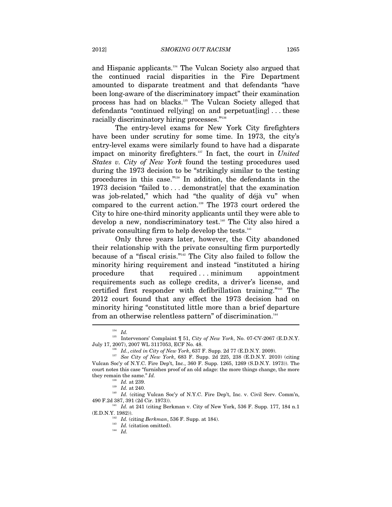and Hispanic applicants.134 The Vulcan Society also argued that the continued racial disparities in the Fire Department amounted to disparate treatment and that defendants "have been long-aware of the discriminatory impact" their examination process has had on blacks.135 The Vulcan Society alleged that defendants "continued rel[ying] on and perpetuat[ing] . . . these racially discriminatory hiring processes."<sup>136</sup>

The entry-level exams for New York City firefighters have been under scrutiny for some time. In 1973, the city's entry-level exams were similarly found to have had a disparate impact on minority firefighters.<sup>137</sup> In fact, the court in *United States v. City of New York* found the testing procedures used during the 1973 decision to be "strikingly similar to the testing procedures in this case."138 In addition, the defendants in the 1973 decision "failed to . . . demonstrat[e] that the examination was job-related," which had "the quality of déjà vu" when compared to the current action.139 The 1973 court ordered the City to hire one-third minority applicants until they were able to develop a new, nondiscriminatory test.<sup>140</sup> The City also hired a private consulting firm to help develop the tests.<sup>141</sup>

Only three years later, however, the City abandoned their relationship with the private consulting firm purportedly because of a "fiscal crisis."142 The City also failed to follow the minority hiring requirement and instead "instituted a hiring procedure that required ... minimum appointment requirements such as college credits, a driver's license, and certified first responder with defibrillation training."143 The 2012 court found that any effect the 1973 decision had on minority hiring "constituted little more than a brief departure from an otherwise relentless pattern" of discrimination.<sup>144</sup> Ϊ

<sup>141</sup> *Id.* at 241 (citing Berkman v. City of New York, 536 F. Supp. 177, 184 n.1 (E.D.N.Y. 1982)).

<sup>134</sup> *Id.*

<sup>135</sup> Intervenors' Complaint ¶ 51, *City of New York*, No. 07-CV-2067 (E.D.N.Y.

July 17, 2007), 2007 WL 3117053, ECF No. 48. 136 *Id.*, *cited in City of New York*, 637 F. Supp. 2d 77 (E.D.N.Y. 2009). 137 *See City of New York*, 683 F. Supp. 2d 225, 238 (E.D.N.Y. 2010) (citing Vulcan Soc'y of N.Y.C. Fire Dep't, Inc., 360 F. Supp. 1265, 1269 (S.D.N.Y. 1973)). The court notes this case "furnishes proof of an old adage: the more things change, the more they remain the same."  $Id$ .<br><sup>138</sup>  $Id$ . at 239.<br><sup>139</sup>  $Id$ . at 240.

<sup>&</sup>lt;sup>140</sup> *Id.* (citing Vulcan Soc'y of N.Y.C. Fire Dep't, Inc. v. Civil Serv. Comm'n, 490 F.2d 387, 391 (2d Cir. 1973)).

<sup>&</sup>lt;sup>142</sup> *Id.* (citing *Berkman*, 536 F. Supp. at 184).<br><sup>143</sup> *Id.* (citation omitted). <sup>144</sup> *Id.*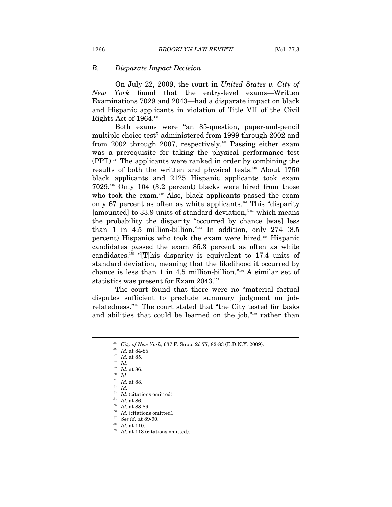#### *B. Disparate Impact Decision*

On July 22, 2009, the court in *United States v. City of New York* found that the entry-level exams—Written Examinations 7029 and 2043—had a disparate impact on black and Hispanic applicants in violation of Title VII of the Civil Rights Act of  $1964.^{145}$ 

Both exams were "an 85-question, paper-and-pencil multiple choice test" administered from 1999 through 2002 and from 2002 through 2007, respectively.<sup>146</sup> Passing either exam was a prerequisite for taking the physical performance test  $(PPT)$ <sup>147</sup>. The applicants were ranked in order by combining the results of both the written and physical tests.<sup>148</sup> About 1750 black applicants and 2125 Hispanic applicants took exam 7029.149 Only 104 (3.2 percent) blacks were hired from those who took the exam.<sup>150</sup> Also, black applicants passed the exam only 67 percent as often as white applicants.<sup>151</sup> This "disparity" [amounted] to 33.9 units of standard deviation,"152 which means the probability the disparity "occurred by chance [was] less than 1 in 4.5 million-billion."153 In addition, only 274 (8.5 percent) Hispanics who took the exam were hired.154 Hispanic candidates passed the exam 85.3 percent as often as white candidates.155 "[T]his disparity is equivalent to 17.4 units of standard deviation, meaning that the likelihood it occurred by chance is less than 1 in 4.5 million-billion."156 A similar set of statistics was present for Exam 2043.157

The court found that there were no "material factual disputes sufficient to preclude summary judgment on jobrelatedness."158 The court stated that "the City tested for tasks and abilities that could be learned on the job,"159 rather than

- 
- 

<sup>&</sup>lt;sup>145</sup> *City of New York*, 637 F. Supp. 2d 77, 82-83 (E.D.N.Y. 2009).<br>
<sup>146</sup> *Id.* at 84-85.<br>
<sup>147</sup> *Id.* at 85.<br>
<sup>148</sup> *Id.* 148<sup>*Id.*</sup>

<sup>149</sup> *Id.* at 86. 150 *Id*. 151 *Id.* at 88. 152 *Id.*

<sup>&</sup>lt;sup>153</sup> *Id.* (citations omitted).<br>
<sup>154</sup> *Id.* at 86.<br>
<sup>155</sup> *Id.* at 88-89.<br>
<sup>156</sup> *Id.* (citations omitted).<br>
<sup>157</sup> *See id.* at 89-90.

<sup>&</sup>lt;sup>158</sup> *Id.* at 110.<br><sup>159</sup> *Id.* at 113 (citations omitted).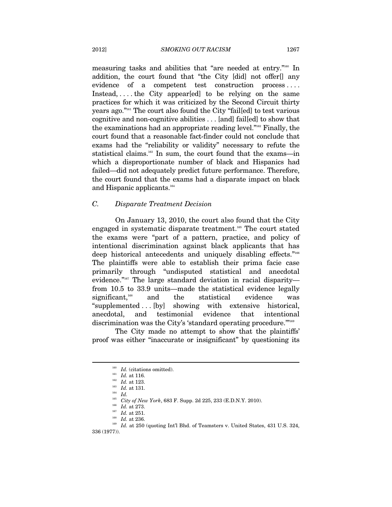measuring tasks and abilities that "are needed at entry."160 In addition, the court found that "the City [did] not offer[] any evidence of a competent test construction process.... Instead, ... the City appear[ed] to be relying on the same practices for which it was criticized by the Second Circuit thirty years ago."161 The court also found the City "fail[ed] to test various cognitive and non-cognitive abilities . . . [and] fail[ed] to show that the examinations had an appropriate reading level."162 Finally, the court found that a reasonable fact-finder could not conclude that exams had the "reliability or validity" necessary to refute the statistical claims.<sup>163</sup> In sum, the court found that the exams—in which a disproportionate number of black and Hispanics had failed—did not adequately predict future performance. Therefore, the court found that the exams had a disparate impact on black and Hispanic applicants.<sup>164</sup>

#### *C. Disparate Treatment Decision*

On January 13, 2010, the court also found that the City engaged in systematic disparate treatment.<sup>165</sup> The court stated the exams were "part of a pattern, practice, and policy of intentional discrimination against black applicants that has deep historical antecedents and uniquely disabling effects."166 The plaintiffs were able to establish their prima facie case primarily through "undisputed statistical and anecdotal evidence."<sup>167</sup> The large standard deviation in racial disparityfrom 10.5 to 33.9 units—made the statistical evidence legally significant,<sup>168</sup> and the statistical evidence was "supplemented . . . [by] showing with extensive historical, anecdotal, and testimonial evidence that intentional discrimination was the City's 'standard operating procedure."<sup>169</sup>

The City made no attempt to show that the plaintiffs' proof was either "inaccurate or insignificant" by questioning its

<sup>&</sup>lt;sup>160</sup> *Id.* (citations omitted).<br>
<sup>161</sup> *Id.* at 116.<br>
<sup>162</sup> *Id.* at 123.<br>
<sup>163</sup> *Id.* at 131.<br>
<sup>164</sup> *Id.*<br> *City of New York*, 683 F. Supp. 2d 225, 233 (E.D.N.Y. 2010).

<sup>&</sup>lt;sup>166</sup> Id. at 273.<br><sup>167</sup> Id. at 251.<br><sup>168</sup> Id. at 236.<br><sup>168</sup> Id. at 236.<br><sup>169</sup> Id. at 250 (quoting Int'l Bhd. of Teamsters v. United States, 431 U.S. 324, 336 (1977)).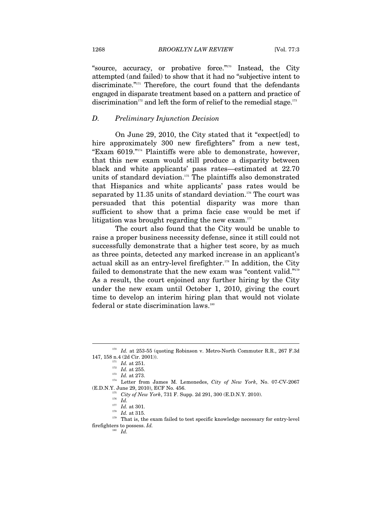"source, accuracy, or probative force."170 Instead, the City attempted (and failed) to show that it had no "subjective intent to discriminate."171 Therefore, the court found that the defendants engaged in disparate treatment based on a pattern and practice of discrimination<sup>172</sup> and left the form of relief to the remedial stage.<sup>173</sup>

#### *D. Preliminary Injunction Decision*

On June 29, 2010, the City stated that it "expect[ed] to hire approximately 300 new firefighters" from a new test, "Exam 6019."174 Plaintiffs were able to demonstrate, however, that this new exam would still produce a disparity between black and white applicants' pass rates—estimated at 22.70 units of standard deviation.<sup>175</sup> The plaintiffs also demonstrated that Hispanics and white applicants' pass rates would be separated by  $11.35$  units of standard deviation.<sup>176</sup> The court was persuaded that this potential disparity was more than sufficient to show that a prima facie case would be met if litigation was brought regarding the new exam. $177$ 

The court also found that the City would be unable to raise a proper business necessity defense, since it still could not successfully demonstrate that a higher test score, by as much as three points, detected any marked increase in an applicant's actual skill as an entry-level firefighter.<sup>178</sup> In addition, the City failed to demonstrate that the new exam was "content valid."<sup>179</sup> As a result, the court enjoined any further hiring by the City under the new exam until October 1, 2010, giving the court time to develop an interim hiring plan that would not violate federal or state discrimination laws.<sup>180</sup>

<sup>&</sup>lt;sup>170</sup> Id. at 253-55 (quoting Robinson v. Metro-North Commuter R.R., 267 F.3d

<sup>147, 158</sup> n.4 (2d Cir. 2001)). 171 *Id.* at 251. 172 *Id.* at 255. 173 *Id.* at 273. 174 Letter from James M. Lemonedes, *City of New York*, No. 07-CV-2067 (E.D.N.Y. June 29, 2010), ECF No. 456. <sup>175</sup> *City of New York*, 731 F. Supp. 2d 291, 300 (E.D.N.Y. 2010).<br><sup>176</sup> *Id.* 177 *Id.* at 301. <sup>178</sup> *Id.* at 315.

<sup>&</sup>lt;sup>179</sup> That is, the exam failed to test specific knowledge necessary for entry-level firefighters to possess. *Id.*

<sup>180</sup> *Id.*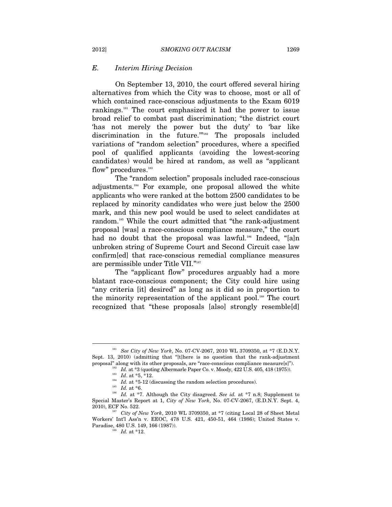#### *E. Interim Hiring Decision*

On September 13, 2010, the court offered several hiring alternatives from which the City was to choose, most or all of which contained race-conscious adjustments to the Exam 6019 rankings.181 The court emphasized it had the power to issue broad relief to combat past discrimination; "the district court 'has not merely the power but the duty' to 'bar like discrimination in the future."<sup>182</sup> The proposals included variations of "random selection" procedures, where a specified pool of qualified applicants (avoiding the lowest-scoring candidates) would be hired at random, as well as "applicant flow" procedures.<sup>183</sup>

The "random selection" proposals included race-conscious adjustments.184 For example, one proposal allowed the white applicants who were ranked at the bottom 2500 candidates to be replaced by minority candidates who were just below the 2500 mark, and this new pool would be used to select candidates at random.<sup>185</sup> While the court admitted that "the rank-adjustment" proposal [was] a race-conscious compliance measure," the court had no doubt that the proposal was lawful.<sup>186</sup> Indeed, "[a]n unbroken string of Supreme Court and Second Circuit case law confirm[ed] that race-conscious remedial compliance measures are permissible under Title VII."187

The "applicant flow" procedures arguably had a more blatant race-conscious component; the City could hire using "any criteria [it] desired" as long as it did so in proportion to the minority representation of the applicant pool.<sup>188</sup> The court recognized that "these proposals [also] strongly resemble[d]

<sup>181</sup> *See City of New York*, No. 07-CV-2067, 2010 WL 3709350, at \*7 (E.D.N.Y. Sept. 13, 2010) (admitting that "[t]here is no question that the rank-adjustment

proposal" along with its other proposals, are "race-conscious compliance measure[s]").<br>
<sup>182</sup> *Id.* at \*3 (quoting Albermarle Paper Co. v. Moody, 422 U.S. 405, 418 (1975)).<br>
<sup>183</sup> *Id.* at \*5, \*12.<br>
<sup>184</sup> *Id.* at \*5-12 ( Special Master's Report at 1, *City of New York*, No. 07-CV-2067, (E.D.N.Y. Sept. 4, 2010), ECF No. 522. 187 *City of New York*, 2010 WL 3709350, at \*7 (citing Local 28 of Sheet Metal

Workers' Int'l Ass'n v. EEOC, 478 U.S. 421, 450-51, 464 (1986); United States v. Paradise, 480 U.S. 149, 166 (1987)). 188 *Id.* at \*12.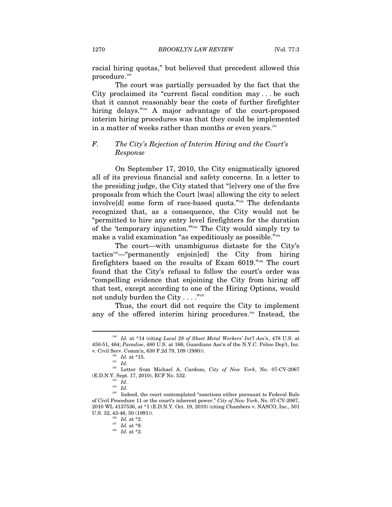racial hiring quotas," but believed that precedent allowed this procedure.<sup>189</sup>

The court was partially persuaded by the fact that the City proclaimed its "current fiscal condition may . . . be such that it cannot reasonably bear the costs of further firefighter hiring delays."<sup>190</sup> A major advantage of the court-proposed interim hiring procedures was that they could be implemented in a matter of weeks rather than months or even years.<sup>191</sup>

# *F. The City's Rejection of Interim Hiring and the Court's Response*

On September 17, 2010, the City enigmatically ignored all of its previous financial and safety concerns. In a letter to the presiding judge, the City stated that "[e]very one of the five proposals from which the Court [was] allowing the city to select involve[d] some form of race-based quota."192 The defendants recognized that, as a consequence, the City would not be "permitted to hire any entry level firefighters for the duration of the 'temporary injunction.'"193 The City would simply try to make a valid examination "as expeditiously as possible."194

The court—with unambiguous distaste for the City's tactics195—"permanently enjoin[ed] the City from hiring firefighters based on the results of Exam 6019."196 The court found that the City's refusal to follow the court's order was "compelling evidence that enjoining the City from hiring off that test, except according to one of the Hiring Options, would not unduly burden the City  $\dots$ ."<sup>197</sup>

Thus, the court did not require the City to implement any of the offered interim hiring procedures.<sup>198</sup> Instead, the

<sup>189</sup> *Id.* at \*14 (citing *Local 28 of Sheet Metal Workers' Int'l Ass'n*, 478 U.S. at 450-51, 464; *Paradise*, 480 U.S. at 166; Guardians Ass'n of the N.Y.C. Police Dep't, Inc. v. Civil Serv. Comm'n, 630 F.2d 79, 109 (1980)).<br><sup>190</sup> *Id.* at \*15.<br>*Id. Id. Id.* 

<sup>192</sup> Letter from Michael A. Cardozo, *City of New York*, No. 07-CV-2067 (E.D.N.Y. Sept. 17, 2010), ECF No. 532.

 $\int_{194}^{193} \frac{Id}{Id}$ .

 $^{195}$  Indeed, the court contemplated "sanctions either pursuant to Federal Rule of Civil Procedure 11 or the court's inherent power." *City of New York*, No. 07-CV-2067, 2010 WL 4137536, at \*1 (E.D.N.Y. Oct. 19, 2010) (citing Chambers v. NASCO, Inc., 501 U.S. 32, 43-46, 50 (1991)).<br>
<sup>196</sup> *Id.* at \*2.<br>
<sup>197</sup> *Id.* at \*8.<br>
<sup>198</sup> *Id.* at \*2.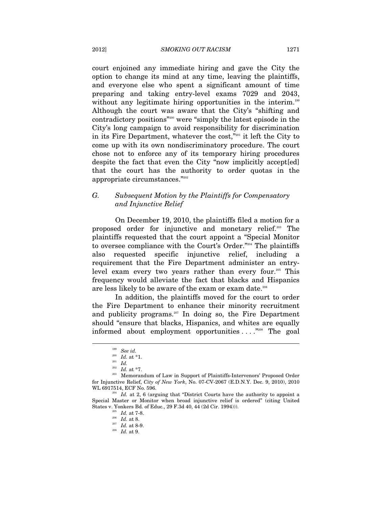court enjoined any immediate hiring and gave the City the option to change its mind at any time, leaving the plaintiffs, and everyone else who spent a significant amount of time preparing and taking entry-level exams 7029 and 2043, without any legitimate hiring opportunities in the interim.<sup>199</sup> Although the court was aware that the City's "shifting and contradictory positions"200 were "simply the latest episode in the City's long campaign to avoid responsibility for discrimination in its Fire Department, whatever the cost,"201 it left the City to come up with its own nondiscriminatory procedure. The court chose not to enforce any of its temporary hiring procedures despite the fact that even the City "now implicitly accept[ed] that the court has the authority to order quotas in the appropriate circumstances."202

# *G. Subsequent Motion by the Plaintiffs for Compensatory and Injunctive Relief*

On December 19, 2010, the plaintiffs filed a motion for a proposed order for injunctive and monetary relief.203 The plaintiffs requested that the court appoint a "Special Monitor to oversee compliance with the Court's Order."204 The plaintiffs also requested specific injunctive relief, including a requirement that the Fire Department administer an entrylevel exam every two years rather than every four.205 This frequency would alleviate the fact that blacks and Hispanics are less likely to be aware of the exam or exam date.206

In addition, the plaintiffs moved for the court to order the Fire Department to enhance their minority recruitment and publicity programs.<sup>207</sup> In doing so, the Fire Department should "ensure that blacks, Hispanics, and whites are equally informed about employment opportunities . . . ."208 The goal

<sup>199</sup> *See id.*

 $\begin{array}{c} \n\frac{200}{201} \quad \text{Id.} \text{ at } *1. \\
\frac{201}{202} \quad \text{Id.} \text{ at } *7. \n\end{array}$ 

<sup>&</sup>lt;sup>203</sup> Memorandum of Law in Support of Plaintiffs-Intervenors' Proposed Order for Injunctive Relief, *City of New York*, No. 07-CV-2067 (E.D.N.Y. Dec. 9, 2010), 2010 WL 6917514, ECF No. 596.<br><sup>204</sup> *Id.* at 2, 6 (arguing that "District Courts have the authority to appoint a

Special Master or Monitor when broad injunctive relief is ordered" (citing United States v. Yonkers Bd. of Educ., 29 F.3d 40, 44 (2d Cir. 1994))).<br>
<sup>205</sup> *Id.* at 7-8.<br>
<sup>206</sup> *Id.* at 8.<br>
<sup>207</sup> *Id.* at 8-9.<br> *Id.* at 9.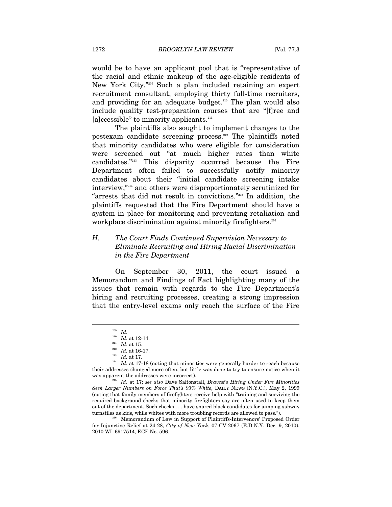would be to have an applicant pool that is "representative of the racial and ethnic makeup of the age-eligible residents of New York City."209 Such a plan included retaining an expert recruitment consultant, employing thirty full-time recruiters, and providing for an adequate budget.<sup>210</sup> The plan would also include quality test-preparation courses that are "[f]ree and  $[a]$ ccessible" to minority applicants.<sup>211</sup>

The plaintiffs also sought to implement changes to the postexam candidate screening process.212 The plaintiffs noted that minority candidates who were eligible for consideration were screened out "at much higher rates than white candidates."213 This disparity occurred because the Fire Department often failed to successfully notify minority candidates about their "initial candidate screening intake interview,"214 and others were disproportionately scrutinized for "arrests that did not result in convictions."215 In addition, the plaintiffs requested that the Fire Department should have a system in place for monitoring and preventing retaliation and workplace discrimination against minority firefighters.<sup>216</sup>

# *H. The Court Finds Continued Supervision Necessary to Eliminate Recruiting and Hiring Racial Discrimination in the Fire Department*

On September 30, 2011, the court issued a Memorandum and Findings of Fact highlighting many of the issues that remain with regards to the Fire Department's hiring and recruiting processes, creating a strong impression that the entry-level exams only reach the surface of the Fire

<sup>&</sup>lt;sup>209</sup> *Id.*<br><sup>210</sup> *Id.* at 12-14.<br><sup>211</sup> *Id.* at 15.

<sup>&</sup>lt;sup>212</sup> *Id.* at 16-17.<br><sup>213</sup> *Id.* at 17.<br><sup>214</sup> *Id.* at 17-18 (noting that minorities were generally harder to reach because their addresses changed more often, but little was done to try to ensure notice when it

was apparent the addresses were incorrect). 215 *Id.* at 17; *see also* Dave Saltonstall, *Bravest's Hiring Under Fire Minorities Seek Larger Numbers on Force That's 93% White*, DAILY NEWS (N.Y.C.), May 2, 1999 (noting that family members of firefighters receive help with "training and surviving the required background checks that minority firefighters say are often used to keep them out of the department. Such checks . . . have snared black candidates for jumping subway turnstiles as kids, while whites with more troubling records are allowed to pass.").<br><sup>216</sup> Memorandum of Law in Support of Plaintiffs-Intervenors' Proposed Order

for Injunctive Relief at 24-28, *City of New York*, 07-CV-2067 (E.D.N.Y. Dec. 9, 2010), 2010 WL 6917514, ECF No. 596.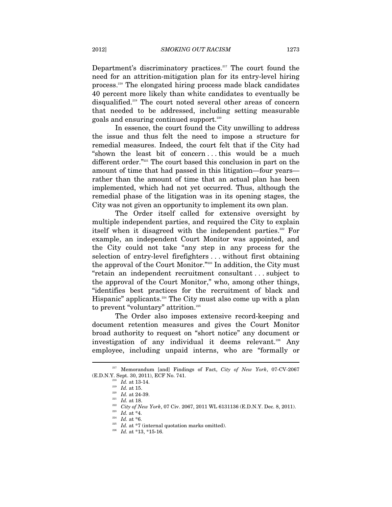Department's discriminatory practices. $217$  The court found the need for an attrition-mitigation plan for its entry-level hiring process.218 The elongated hiring process made black candidates 40 percent more likely than white candidates to eventually be disqualified.<sup>219</sup> The court noted several other areas of concern that needed to be addressed, including setting measurable goals and ensuring continued support.220

In essence, the court found the City unwilling to address the issue and thus felt the need to impose a structure for remedial measures. Indeed, the court felt that if the City had "shown the least bit of concern . . . this would be a much different order."221 The court based this conclusion in part on the amount of time that had passed in this litigation—four years rather than the amount of time that an actual plan has been implemented, which had not yet occurred. Thus, although the remedial phase of the litigation was in its opening stages, the City was not given an opportunity to implement its own plan.

The Order itself called for extensive oversight by multiple independent parties, and required the City to explain itself when it disagreed with the independent parties.<sup>222</sup> For example, an independent Court Monitor was appointed, and the City could not take "any step in any process for the selection of entry-level firefighters . . . without first obtaining the approval of the Court Monitor."223 In addition, the City must "retain an independent recruitment consultant . . . subject to the approval of the Court Monitor," who, among other things, "identifies best practices for the recruitment of black and Hispanic" applicants.<sup>224</sup> The City must also come up with a plan to prevent "voluntary" attrition.<sup>225</sup>

The Order also imposes extensive record-keeping and document retention measures and gives the Court Monitor broad authority to request on "short notice" any document or investigation of any individual it deems relevant.226 Any employee, including unpaid interns, who are "formally or

<sup>217</sup> Memorandum [and] Findings of Fact, *City of New York*, 07-CV-2067 (E.D.N.Y. Sept. 30, 2011), ECF No. 741.<br>
<sup>218</sup> *Id.* at 13-14.<br>
<sup>219</sup> *Id.* at 15.<br>
<sup>220</sup> *Id.* at 18.<br>
<sup>221</sup> *Id.* at 18.<br>
<sup>222</sup> *City of New York*, 07 Civ. 2067, 2011 WL 6131136 (E.D.N.Y. Dec. 8, 2011).<br>
<sup>223</sup> *Id.* at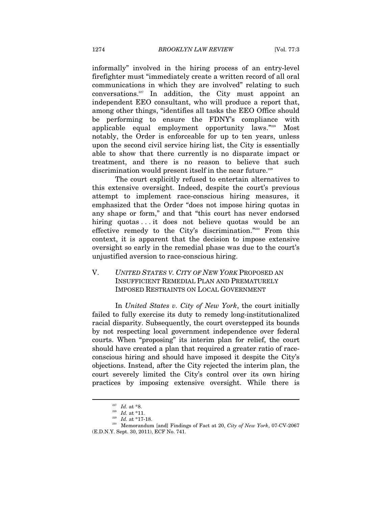informally" involved in the hiring process of an entry-level firefighter must "immediately create a written record of all oral communications in which they are involved" relating to such conversations.<sup>227</sup> In addition, the City must appoint an independent EEO consultant, who will produce a report that, among other things, "identifies all tasks the EEO Office should be performing to ensure the FDNY's compliance with applicable equal employment opportunity laws."228 Most notably, the Order is enforceable for up to ten years, unless upon the second civil service hiring list, the City is essentially able to show that there currently is no disparate impact or treatment, and there is no reason to believe that such discrimination would present itself in the near future.<sup>229</sup>

The court explicitly refused to entertain alternatives to this extensive oversight. Indeed, despite the court's previous attempt to implement race-conscious hiring measures, it emphasized that the Order "does not impose hiring quotas in any shape or form," and that "this court has never endorsed hiring quotas . . . it does not believe quotas would be an effective remedy to the City's discrimination."230 From this context, it is apparent that the decision to impose extensive oversight so early in the remedial phase was due to the court's unjustified aversion to race-conscious hiring.

# V. *UNITED STATES V. CITY OF NEW YORK* PROPOSED AN INSUFFICIENT REMEDIAL PLAN AND PREMATURELY IMPOSED RESTRAINTS ON LOCAL GOVERNMENT

In *United States v. City of New York*, the court initially failed to fully exercise its duty to remedy long-institutionalized racial disparity. Subsequently, the court overstepped its bounds by not respecting local government independence over federal courts. When "proposing" its interim plan for relief, the court should have created a plan that required a greater ratio of raceconscious hiring and should have imposed it despite the City's objections. Instead, after the City rejected the interim plan, the court severely limited the City's control over its own hiring practices by imposing extensive oversight. While there is

<sup>227</sup> *Id.* at \*8. 228 *Id.* at \*11. 229 *Id.* at \*17-18. 230 Memorandum [and] Findings of Fact at 20, *City of New York*, 07-CV-2067 (E.D.N.Y. Sept. 30, 2011), ECF No. 741.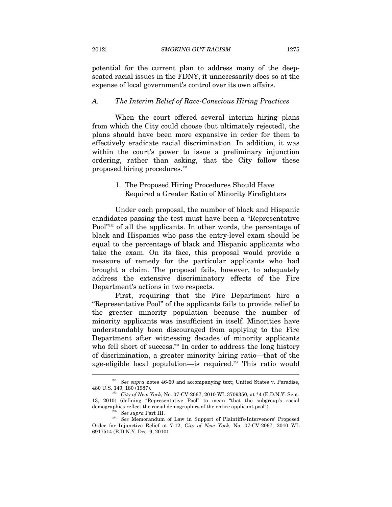potential for the current plan to address many of the deepseated racial issues in the FDNY, it unnecessarily does so at the expense of local government's control over its own affairs.

#### *A. The Interim Relief of Race-Conscious Hiring Practices*

When the court offered several interim hiring plans from which the City could choose (but ultimately rejected), the plans should have been more expansive in order for them to effectively eradicate racial discrimination. In addition, it was within the court's power to issue a preliminary injunction ordering, rather than asking, that the City follow these proposed hiring procedures.<sup>231</sup>

# 1. The Proposed Hiring Procedures Should Have Required a Greater Ratio of Minority Firefighters

Under each proposal, the number of black and Hispanic candidates passing the test must have been a "Representative Pool<sup>"232</sup> of all the applicants. In other words, the percentage of black and Hispanics who pass the entry-level exam should be equal to the percentage of black and Hispanic applicants who take the exam. On its face, this proposal would provide a measure of remedy for the particular applicants who had brought a claim. The proposal fails, however, to adequately address the extensive discriminatory effects of the Fire Department's actions in two respects.

First, requiring that the Fire Department hire a "Representative Pool" of the applicants fails to provide relief to the greater minority population because the number of minority applicants was insufficient in itself. Minorities have understandably been discouraged from applying to the Fire Department after witnessing decades of minority applicants who fell short of success.<sup>233</sup> In order to address the long history of discrimination, a greater minority hiring ratio—that of the age-eligible local population—is required.<sup>234</sup> This ratio would

<sup>&</sup>lt;sup>231</sup> See supra notes 46-60 and accompanying text; United States v. Paradise, 480 U.S. 149, 180 (1987). 232 *City of New York*, No. 07-CV-2067, 2010 WL 3709350, at \*4 (E.D.N.Y. Sept.

<sup>13, 2010) (</sup>defining "Representative Pool" to mean "that the subgroup's racial demographics reflect the racial demographics of the entire applicant pool").<br><sup>234</sup> See supra Part III. 234<br>*See* Memorandum of Law in Support of Plaintiffs-Intervenors' Proposed

Order for Injunctive Relief at 7-12, *City of New York*, No. 07-CV-2067, 2010 WL 6917514 (E.D.N.Y. Dec. 9, 2010).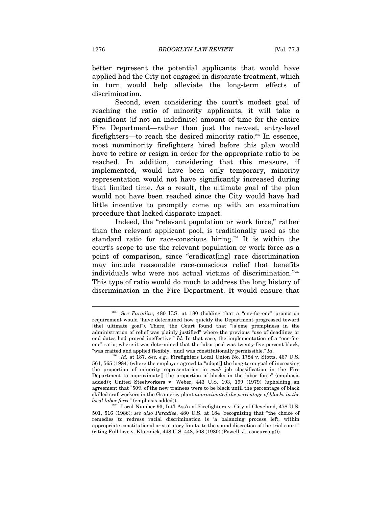better represent the potential applicants that would have applied had the City not engaged in disparate treatment, which in turn would help alleviate the long-term effects of discrimination.

Second, even considering the court's modest goal of reaching the ratio of minority applicants, it will take a significant (if not an indefinite) amount of time for the entire Fire Department—rather than just the newest, entry-level firefighters—to reach the desired minority ratio.<sup>235</sup> In essence, most nonminority firefighters hired before this plan would have to retire or resign in order for the appropriate ratio to be reached. In addition, considering that this measure, if implemented, would have been only temporary, minority representation would not have significantly increased during that limited time. As a result, the ultimate goal of the plan would not have been reached since the City would have had little incentive to promptly come up with an examination procedure that lacked disparate impact.

Indeed, the "relevant population or work force," rather than the relevant applicant pool, is traditionally used as the standard ratio for race-conscious hiring.<sup>236</sup> It is within the court's scope to use the relevant population or work force as a point of comparison, since "eradicat[ing] race discrimination may include reasonable race-conscious relief that benefits individuals who were not actual victims of discrimination."237 This type of ratio would do much to address the long history of discrimination in the Fire Department. It would ensure that

<sup>235</sup> *See Paradise*, 480 U.S. at 180 (holding that a "one-for-one" promotion requirement would "have determined how quickly the Department progressed toward [the] ultimate goal"). There, the Court found that "[s]ome promptness in the administration of relief was plainly justified" where the previous "use of deadlines or end dates had proved ineffective." *Id.* In that case, the implementation of a "one-forone" ratio, where it was determined that the labor pool was twenty-five percent black, "was crafted and applied flexibly, [and] was constitutionally permissible." *Id.*

<sup>236</sup> *Id.* at 187. *See, e.g.*, Firefighters Local Union No. 1784 v. Stotts, 467 U.S. 561, 565 (1984) (where the employer agreed to "adopt[] the long-term goal of increasing the proportion of minority representation in *each* job classification in the Fire Department to approximate[] the proportion of blacks in the labor force" (emphasis added)); United Steelworkers v. Weber, 443 U.S. 193, 199 (1979) (upholding an agreement that "50% of the new trainees were to be black until the percentage of black skilled craftworkers in the Gramercy plant *approximated the percentage of blacks in the local labor force*" (emphasis added)).<br><sup>237</sup> Local Number 93, Int'l Ass'n of Firefighters v. City of Cleveland, 478 U.S.

<sup>501, 516 (1986);</sup> *see also Paradise*, 480 U.S. at 184 (recognizing that "the choice of remedies to redress racial discrimination is 'a balancing process left, within appropriate constitutional or statutory limits, to the sound discretion of the trial court'" (citing Fullilove v. Klutznick, 448 U.S. 448, 508 (1980) (Powell, J., concurring))).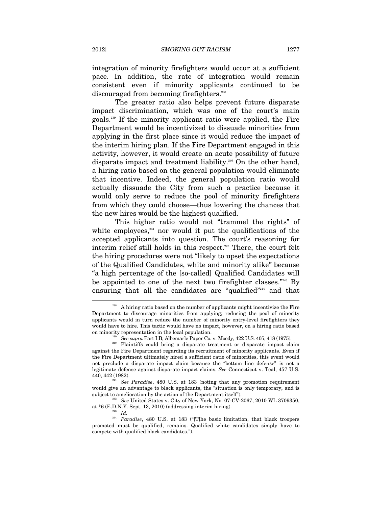integration of minority firefighters would occur at a sufficient pace. In addition, the rate of integration would remain consistent even if minority applicants continued to be discouraged from becoming firefighters.<sup>238</sup>

The greater ratio also helps prevent future disparate impact discrimination, which was one of the court's main goals.239 If the minority applicant ratio were applied, the Fire Department would be incentivized to dissuade minorities from applying in the first place since it would reduce the impact of the interim hiring plan. If the Fire Department engaged in this activity, however, it would create an acute possibility of future disparate impact and treatment liability.<sup>240</sup> On the other hand, a hiring ratio based on the general population would eliminate that incentive. Indeed, the general population ratio would actually dissuade the City from such a practice because it would only serve to reduce the pool of minority firefighters from which they could choose—thus lowering the chances that the new hires would be the highest qualified.

This higher ratio would not "trammel the rights" of white employees, $241$  nor would it put the qualifications of the accepted applicants into question. The court's reasoning for interim relief still holds in this respect.<sup>242</sup> There, the court felt the hiring procedures were not "likely to upset the expectations of the Qualified Candidates, white and minority alike" because "a high percentage of the [so-called] Qualified Candidates will be appointed to one of the next two firefighter classes."243 By ensuring that all the candidates are "qualified"<sup>244</sup> and that

<sup>&</sup>lt;sup>238</sup> A hiring ratio based on the number of applicants might incentivize the Fire Department to discourage minorities from applying; reducing the pool of minority applicants would in turn reduce the number of minority entry-level firefighters they would have to hire. This tactic would have no impact, however, on a hiring ratio based

on minority representation in the local population.<br><sup>239</sup> See supra Part I.B; Albemarle Paper Co. v. Moody, 422 U.S. 405, 418 (1975).<br><sup>240</sup> Plaintiffs could bring a disparate treatment or disparate impact claim against the Fire Department regarding its recruitment of minority applicants. Even if the Fire Department ultimately hired a sufficient ratio of minorities, this event would not preclude a disparate impact claim because the "bottom line defense" is not a legitimate defense against disparate impact claims. *See* Connecticut v. Teal, 457 U.S.

<sup>440, 442 (1982). 241</sup> *See Paradise*, 480 U.S. at 183 (noting that any promotion requirement would give an advantage to black applicants, the "situation is only temporary, and is subject to amelioration by the action of the Department itself").

<sup>&</sup>lt;sup>242</sup> See United States v. City of New York, No. 07-CV-2067, 2010 WL 3709350, at \*6 (E.D.N.Y. Sept. 13, 2010) (addressing interim hiring).  $Id$ .

<sup>&</sup>lt;sup>244</sup> *Paradise*, 480 U.S. at 183 ("[T]he basic limitation, that black troopers promoted must be qualified, remains. Qualified white candidates simply have to compete with qualified black candidates.").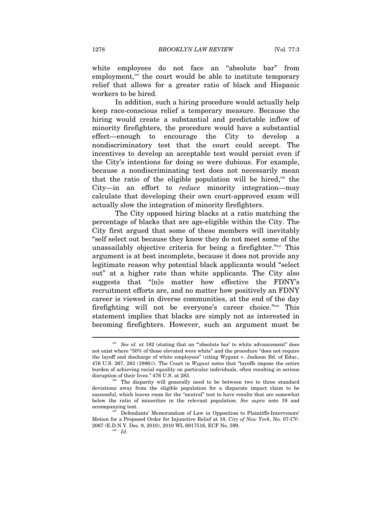white employees do not face an "absolute bar" from employment,<sup>245</sup> the court would be able to institute temporary relief that allows for a greater ratio of black and Hispanic workers to be hired.

In addition, such a hiring procedure would actually help keep race-conscious relief a temporary measure. Because the hiring would create a substantial and predictable inflow of minority firefighters, the procedure would have a substantial  $effect$ —enough to encourage the City to develop nondiscriminatory test that the court could accept. The incentives to develop an acceptable test would persist even if the City's intentions for doing so were dubious. For example, because a nondiscriminating test does not necessarily mean that the ratio of the eligible population will be hired,<sup>246</sup> the City—in an effort to *reduce* minority integration—may calculate that developing their own court-approved exam will actually slow the integration of minority firefighters.

The City opposed hiring blacks at a ratio matching the percentage of blacks that are age-eligible within the City. The City first argued that some of these members will inevitably "self select out because they know they do not meet some of the unassailably objective criteria for being a firefighter."247 This argument is at best incomplete, because it does not provide any legitimate reason why potential black applicants would "select out" at a higher rate than white applicants. The City also suggests that "[n]o matter how effective the FDNY's recruitment efforts are, and no matter how positively an FDNY career is viewed in diverse communities, at the end of the day firefighting will not be everyone's career choice."248 This statement implies that blacks are simply not as interested in becoming firefighters. However, such an argument must be

<sup>245</sup> *See id.* at 182 (stating that an "'absolute bar' to white advancement" does not exist where "50% of those elevated were white" and the procedure "does not require the layoff and discharge of white employees" (citing Wygant v. Jackson Bd. of Educ., 476 U.S. 267, 283 (1986))). The Court in *Wygant* notes that "layoffs impose the entire burden of achieving racial equality on particular individuals, often resulting in serious disruption of their lives." 476 U.S. at 283.<br><sup>246</sup> The disparity will generally need to be between two to three standard

deviations away from the eligible population for a disparate impact claim to be successful, which leaves room for the "neutral" test to have results that are somewhat below the ratio of minorities in the relevant population. *See supra* note 19 and accompanying text.<br><sup>247</sup> Defendants' Memorandum of Law in Opposition to Plaintiffs-Intervenors'

Motion for a Proposed Order for Injunctive Relief at 18, *City of New York*, No. 07-CV-2067 (E.D.N.Y. Dec. 9, 2010), 2010 WL 6917516, ECF No. 599. 248 *Id*.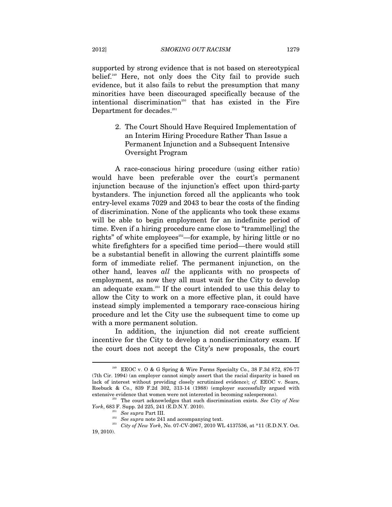supported by strong evidence that is not based on stereotypical belief.<sup>249</sup> Here, not only does the City fail to provide such evidence, but it also fails to rebut the presumption that many minorities have been discouraged specifically because of the intentional discrimination<sup>250</sup> that has existed in the Fire Department for decades.<sup>251</sup>

> 2. The Court Should Have Required Implementation of an Interim Hiring Procedure Rather Than Issue a Permanent Injunction and a Subsequent Intensive Oversight Program

A race-conscious hiring procedure (using either ratio) would have been preferable over the court's permanent injunction because of the injunction's effect upon third-party bystanders. The injunction forced all the applicants who took entry-level exams 7029 and 2043 to bear the costs of the finding of discrimination. None of the applicants who took these exams will be able to begin employment for an indefinite period of time. Even if a hiring procedure came close to "trammel[ing] the rights" of white employees $252$ —for example, by hiring little or no white firefighters for a specified time period—there would still be a substantial benefit in allowing the current plaintiffs some form of immediate relief. The permanent injunction, on the other hand, leaves *all* the applicants with no prospects of employment, as now they all must wait for the City to develop an adequate exam.253 If the court intended to use this delay to allow the City to work on a more effective plan, it could have instead simply implemented a temporary race-conscious hiring procedure and let the City use the subsequent time to come up with a more permanent solution.

In addition, the injunction did not create sufficient incentive for the City to develop a nondiscriminatory exam. If the court does not accept the City's new proposals, the court

<sup>249</sup> EEOC v. O & G Spring & Wire Forms Specialty Co., 38 F.3d 872, 876-77 (7th Cir. 1994) (an employer cannot simply assert that the racial disparity is based on lack of interest without providing closely scrutinized evidence); *cf.* EEOC v. Sears, Roebuck & Co., 839 F.2d 302, 313-14 (1988) (employer successfully argued with extensive evidence that women were not interested in becoming salespersons).

<sup>&</sup>lt;sup>250</sup> The court acknowledges that such discrimination exists. *See City of New York*, 683 F. Supp. 2d 225, 241 (E.D.N.Y. 2010).

<sup>&</sup>lt;sup>251</sup> See supra Part III.<br><sup>252</sup> See supra note 241 and accompanying text.<br><sup>253</sup> City of New York, No. 07-CV-2067, 2010 WL 4137536, at \*11 (E.D.N.Y. Oct. 19, 2010).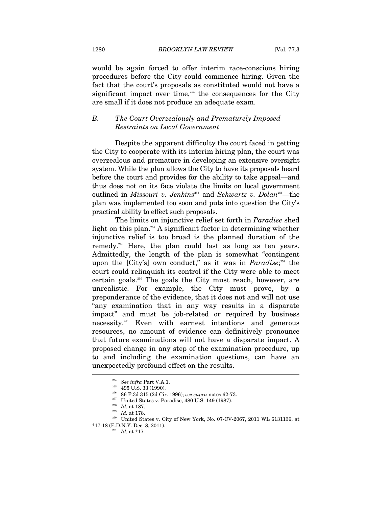would be again forced to offer interim race-conscious hiring procedures before the City could commence hiring. Given the fact that the court's proposals as constituted would not have a significant impact over time, $254$  the consequences for the City are small if it does not produce an adequate exam.

#### *B. The Court Overzealously and Prematurely Imposed Restraints on Local Government*

Despite the apparent difficulty the court faced in getting the City to cooperate with its interim hiring plan, the court was overzealous and premature in developing an extensive oversight system. While the plan allows the City to have its proposals heard before the court and provides for the ability to take appeal—and thus does not on its face violate the limits on local government outlined in *Missouri v. Jenkins*<sup>255</sup> and *Schwartz v. Dolan*<sup>256</sup>—the plan was implemented too soon and puts into question the City's practical ability to effect such proposals.

The limits on injunctive relief set forth in *Paradise* shed light on this plan.<sup>257</sup> A significant factor in determining whether injunctive relief is too broad is the planned duration of the remedy.<sup>258</sup> Here, the plan could last as long as ten years. Admittedly, the length of the plan is somewhat "contingent upon the [City's] own conduct," as it was in *Paradise*; 259 the court could relinquish its control if the City were able to meet certain goals.<sup>260</sup> The goals the City must reach, however, are unrealistic. For example, the City must prove, by a preponderance of the evidence, that it does not and will not use "any examination that in any way results in a disparate impact" and must be job-related or required by business necessity.261 Even with earnest intentions and generous resources, no amount of evidence can definitively pronounce that future examinations will not have a disparate impact. A proposed change in any step of the examination procedure, up to and including the examination questions, can have an unexpectedly profound effect on the results. j

<sup>&</sup>lt;sup>254</sup> See infra Part V.A.1.<br><sup>255</sup> 495 U.S. 33 (1990).<br><sup>256</sup> 86 F.3d 315 (2d Cir. 1996); *see supra* notes 62-73.<br><sup>257</sup> United States v. Paradise, 480 U.S. 149 (1987).<br><sup>258</sup> Id. at 187.<br><sup>259</sup> Id. at 178.<br><sup>259</sup> United State

 $*17-18$  (E.D.N.Y. Dec. 8, 2011).<br><sup>261</sup> *Id.* at  $*17$ .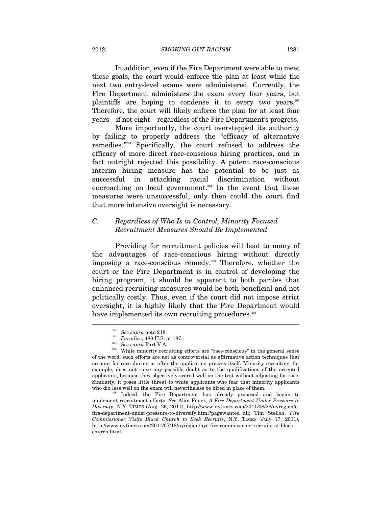2012] *SMOKING OUT RACISM* 1281

In addition, even if the Fire Department were able to meet these goals, the court would enforce the plan at least while the next two entry-level exams were administered. Currently, the Fire Department administers the exam every four years, but plaintiffs are hoping to condense it to every two years.<sup>262</sup> Therefore, the court will likely enforce the plan for at least four years—if not eight—regardless of the Fire Department's progress.

More importantly, the court overstepped its authority by failing to properly address the "efficacy of alternative remedies."263 Specifically, the court refused to address the efficacy of more direct race-conscious hiring practices, and in fact outright rejected this possibility. A potent race-conscious interim hiring measure has the potential to be just as successful in attacking racial discrimination without encroaching on local government.<sup>264</sup> In the event that these measures were unsuccessful, only then could the court find that more intensive oversight is necessary.

# *C. Regardless of Who Is in Control, Minority Focused Recruitment Measures Should Be Implemented*

Providing for recruitment policies will lead to many of the advantages of race-conscious hiring without directly imposing a race-conscious remedy.<sup>265</sup> Therefore, whether the court or the Fire Department is in control of developing the hiring program, it should be apparent to both parties that enhanced recruiting measures would be both beneficial and not politically costly. Thus, even if the court did not impose strict oversight, it is highly likely that the Fire Department would have implemented its own recruiting procedures.<sup>266</sup>  $\overline{a}$ 

<sup>262</sup> *See supra* note 218. 263 *Paradise*, 480 U.S. at 187. 264 *See supra* Part V.A. 265 While minority recruiting efforts are "race-conscious" in the general sense of the word, such efforts are not as controversial as affirmative action techniques that account for race during or after the application process itself. Minority recruiting, for example, does not raise any possible doubt as to the qualifications of the accepted applicants, because they objectively scored well on the test without adjusting for race. Similarly, it poses little threat to white applicants who fear that minority applicants who did less well on the exam will nevertheless be hired in place of them.<br><sup>266</sup> Indeed, the Fire Department has already proposed and began to

implement recruitment efforts. *See* Alan Feuer, *A Fire Department Under Pressure to Diversify*, N.Y. TIMES (Aug. 26, 2011), http://www.nytimes.com/2011/08/28/nyregion/afire-department-under-pressure-to-diversify.html?pagewanted=all; Tim Stelloh, *Fire Commissioner Visits Black Church to Seek Recruits*, N.Y. TIMES (July 17, 2011), http://www.nytimes.com/2011/07/18/nyregion/nyc-fire-commissioner-recruits-at-blackchurch.html.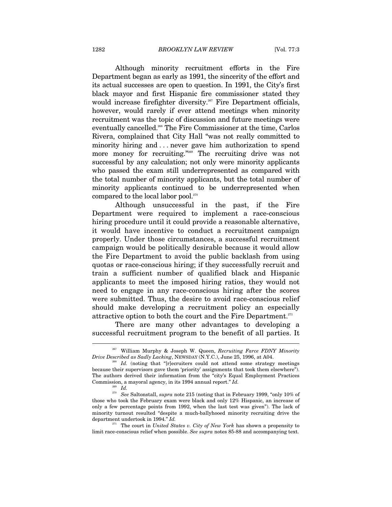Although minority recruitment efforts in the Fire Department began as early as 1991, the sincerity of the effort and its actual successes are open to question. In 1991, the City's first black mayor and first Hispanic fire commissioner stated they would increase firefighter diversity.<sup>267</sup> Fire Department officials, however, would rarely if ever attend meetings when minority recruitment was the topic of discussion and future meetings were eventually cancelled.<sup>268</sup> The Fire Commissioner at the time, Carlos Rivera, complained that City Hall "was not really committed to minority hiring and . . . never gave him authorization to spend more money for recruiting."<sup>269</sup> The recruiting drive was not successful by any calculation; not only were minority applicants who passed the exam still underrepresented as compared with the total number of minority applicants, but the total number of minority applicants continued to be underrepresented when compared to the local labor pool.<sup>270</sup>

Although unsuccessful in the past, if the Fire Department were required to implement a race-conscious hiring procedure until it could provide a reasonable alternative, it would have incentive to conduct a recruitment campaign properly. Under those circumstances, a successful recruitment campaign would be politically desirable because it would allow the Fire Department to avoid the public backlash from using quotas or race-conscious hiring; if they successfully recruit and train a sufficient number of qualified black and Hispanic applicants to meet the imposed hiring ratios, they would not need to engage in any race-conscious hiring after the scores were submitted. Thus, the desire to avoid race-conscious relief should make developing a recruitment policy an especially attractive option to both the court and the Fire Department.<sup>271</sup>

There are many other advantages to developing a successful recruitment program to the benefit of all parties. It

<sup>&</sup>lt;sup>267</sup> William Murphy & Joseph W. Queen, *Recruiting Farce FDNY Minority Drive Described as Sadly Lacking*, *NEWSDAY* (N.Y.C.), June 25, 1996, at A04.

<sup>&</sup>lt;sup>268</sup> Id. (noting that "[r]ecruiters could not attend some strategy meetings because their supervisors gave them 'priority' assignments that took them elsewhere"). The authors derived their information from the "city's Equal Employment Practices Commission, a mayoral agency, in its 1994 annual report." *Id.*

<sup>269</sup> *Id.*

<sup>270</sup> *See* Saltonstall, *supra* note 215 (noting that in February 1999, "only 10% of those who took the February exam were black and only 12% Hispanic, an increase of only a few percentage points from 1992, when the last test was given"). The lack of minority turnout resulted "despite a much-ballyhooed minority recruiting drive the department undertook in 1994." *Id.*

<sup>&</sup>lt;sup>271</sup> The court in *United States v. City of New York* has shown a propensity to limit race-conscious relief when possible. *See supra* notes 85-88 and accompanying text.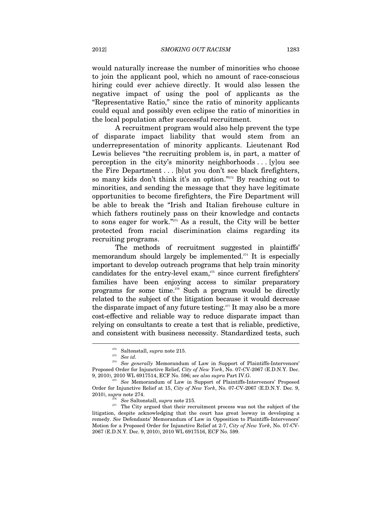would naturally increase the number of minorities who choose to join the applicant pool, which no amount of race-conscious hiring could ever achieve directly. It would also lessen the negative impact of using the pool of applicants as the "Representative Ratio," since the ratio of minority applicants could equal and possibly even eclipse the ratio of minorities in the local population after successful recruitment.

A recruitment program would also help prevent the type of disparate impact liability that would stem from an underrepresentation of minority applicants. Lieutenant Rod Lewis believes "the recruiting problem is, in part, a matter of perception in the city's minority neighborhoods . . . [y]ou see the Fire Department . . . [b]ut you don't see black firefighters, so many kids don't think it's an option."<sup>272</sup> By reaching out to minorities, and sending the message that they have legitimate opportunities to become firefighters, the Fire Department will be able to break the "Irish and Italian firehouse culture in which fathers routinely pass on their knowledge and contacts to sons eager for work."273 As a result, the City will be better protected from racial discrimination claims regarding its recruiting programs.

The methods of recruitment suggested in plaintiffs' memorandum should largely be implemented.<sup> $274$ </sup> It is especially important to develop outreach programs that help train minority candidates for the entry-level exam,<sup>275</sup> since current firefighters' families have been enjoying access to similar preparatory programs for some time.<sup>276</sup> Such a program would be directly related to the subject of the litigation because it would decrease the disparate impact of any future testing.<sup> $277$ </sup> It may also be a more cost-effective and reliable way to reduce disparate impact than relying on consultants to create a test that is reliable, predictive, and consistent with business necessity. Standardized tests, such  $\overline{a}$ 

<sup>272</sup> Saltonstall, *supra* note 215. 273 *See id.*

<sup>&</sup>lt;sup>274</sup> See generally Memorandum of Law in Support of Plaintiffs-Intervenors' Proposed Order for Injunctive Relief, *City of New York*, No. 07-CV-2067 (E.D.N.Y. Dec.

<sup>9, 2010), 2010</sup> WL 6917514, ECF No. 596; *see also supra* Part IV.G. 275 *See* Memorandum of Law in Support of Plaintiffs-Intervenors' Proposed Order for Injunctive Relief at 15, *City of New York*, No. 07-CV-2067 (E.D.N.Y. Dec. 9,

<sup>&</sup>lt;sup>276</sup> See Saltonstall, *supra* note 215. 277 The City argued that their recruitment process was not the subject of the litigation, despite acknowledging that the court has great leeway in developing a remedy. *See* Defendants' Memorandum of Law in Opposition to Plaintiffs-Intervenors' Motion for a Proposed Order for Injunctive Relief at 2-7, *City of New York*, No. 07-CV-2067 (E.D.N.Y. Dec. 9, 2010), 2010 WL 6917516, ECF No. 599.